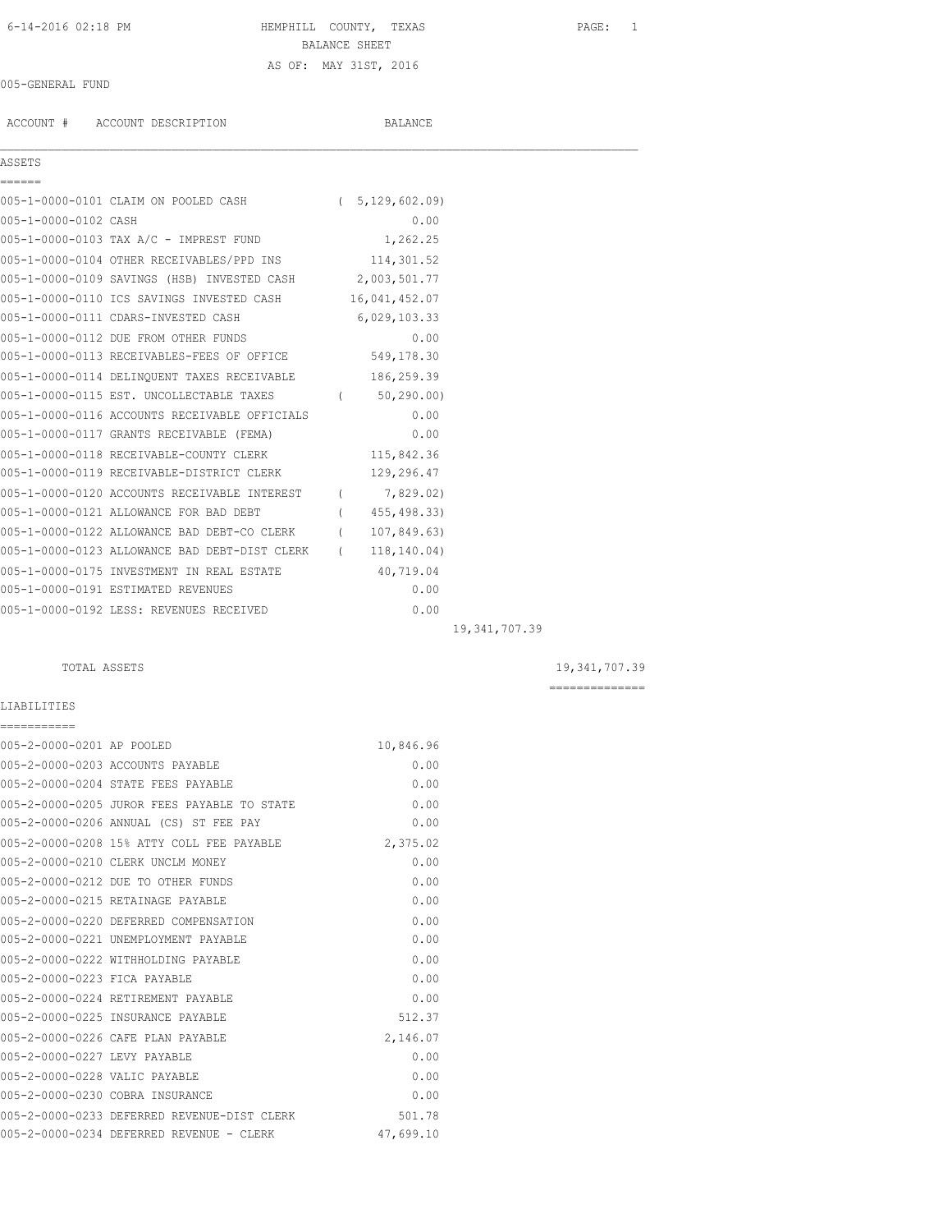# 6-14-2016 02:18 PM HEMPHILL COUNTY, TEXAS PAGE: 1 BALANCE SHEET AS OF: MAY 31ST, 2016

 $\mathcal{L}_\mathcal{L} = \mathcal{L}_\mathcal{L}$ 

### 005-GENERAL FUND

ACCOUNT # ACCOUNT DESCRIPTION BALANCE

### ASSETS

| ======               |                                                          |                           |  |
|----------------------|----------------------------------------------------------|---------------------------|--|
|                      | 005-1-0000-0101 CLAIM ON POOLED CASH (5,129,602.09)      |                           |  |
| 005-1-0000-0102 CASH |                                                          | 0.00                      |  |
|                      | 005-1-0000-0103 TAX A/C - IMPREST FUND                   | 1,262.25                  |  |
|                      | 005-1-0000-0104 OTHER RECEIVABLES/PPD INS 114,301.52     |                           |  |
|                      | 005-1-0000-0109 SAVINGS (HSB) INVESTED CASH 2,003,501.77 |                           |  |
|                      |                                                          |                           |  |
|                      | 005-1-0000-0110 ICS SAVINGS INVESTED CASH 16,041,452.07  |                           |  |
|                      | 005-1-0000-0111 CDARS-INVESTED CASH 6,029,103.33         |                           |  |
|                      | 005-1-0000-0112 DUE FROM OTHER FUNDS                     | 0.00                      |  |
|                      | 005-1-0000-0113 RECEIVABLES-FEES OF OFFICE 549,178.30    |                           |  |
|                      | 005-1-0000-0114 DELINQUENT TAXES RECEIVABLE 186,259.39   |                           |  |
|                      | 005-1-0000-0115 EST. UNCOLLECTABLE TAXES                 | (50, 290.00)              |  |
|                      | 005-1-0000-0116 ACCOUNTS RECEIVABLE OFFICIALS            | 0.00                      |  |
|                      | 005-1-0000-0117 GRANTS RECEIVABLE (FEMA)                 | 0.00                      |  |
|                      | 005-1-0000-0118 RECEIVABLE-COUNTY CLERK 115,842.36       |                           |  |
|                      | 005-1-0000-0119 RECEIVABLE-DISTRICT CLERK                | 129,296.47                |  |
|                      | 005-1-0000-0120 ACCOUNTS RECEIVABLE INTEREST             | (7,829.02)                |  |
|                      | 005-1-0000-0121 ALLOWANCE FOR BAD DEBT                   | (455, 498, 33)            |  |
|                      | 005-1-0000-0122 ALLOWANCE BAD DEBT-CO CLERK (            | 107,849.63)               |  |
|                      | 005-1-0000-0123 ALLOWANCE BAD DEBT-DIST CLERK            | 118,140.04)<br>$\sqrt{2}$ |  |
|                      | 005-1-0000-0175 INVESTMENT IN REAL ESTATE                | 40,719.04                 |  |
|                      | 005-1-0000-0191 ESTIMATED REVENUES                       | 0.00                      |  |
|                      | 005-1-0000-0192 LESS: REVENUES RECEIVED                  | 0.00                      |  |
|                      |                                                          |                           |  |

19,341,707.39

LIABILITIES ===========

 TOTAL ASSETS 19,341,707.39 ==============

| 005-2-0000-0201 AP POOLED     |                                             | 10,846.96 |
|-------------------------------|---------------------------------------------|-----------|
|                               | 005-2-0000-0203 ACCOUNTS PAYABLE            | 0.00      |
|                               | 005-2-0000-0204 STATE FEES PAYABLE          | 0.00      |
|                               | 005-2-0000-0205 JUROR FEES PAYABLE TO STATE | 0.00      |
|                               | 005-2-0000-0206 ANNUAL (CS) ST FEE PAY      | 0.00      |
|                               | 005-2-0000-0208 15% ATTY COLL FEE PAYABLE   | 2,375.02  |
|                               | 005-2-0000-0210 CLERK UNCLM MONEY           | 0.00      |
|                               | 005-2-0000-0212 DUE TO OTHER FUNDS          | 0.00      |
|                               | 005-2-0000-0215 RETAINAGE PAYABLE           | 0.00      |
|                               | 005-2-0000-0220 DEFERRED COMPENSATION       | 0.00      |
|                               | 005-2-0000-0221 UNEMPLOYMENT PAYABLE        | 0.00      |
|                               | 005-2-0000-0222 WITHHOLDING PAYABLE         | 0.00      |
| 005-2-0000-0223 FICA PAYABLE  |                                             | 0.00      |
|                               | 005-2-0000-0224 RETIREMENT PAYABLE          | 0.00      |
|                               | 005-2-0000-0225 INSURANCE PAYABLE           | 512.37    |
|                               | 005-2-0000-0226 CAFE PLAN PAYABLE           | 2,146.07  |
| 005-2-0000-0227 LEVY PAYABLE  |                                             | 0.00      |
| 005-2-0000-0228 VALIC PAYABLE |                                             | 0.00      |
|                               | 005-2-0000-0230 COBRA INSURANCE             | 0.00      |
|                               | 005-2-0000-0233 DEFERRED REVENUE-DIST CLERK | 501.78    |
|                               | 005-2-0000-0234 DEFERRED REVENUE - CLERK    | 47,699.10 |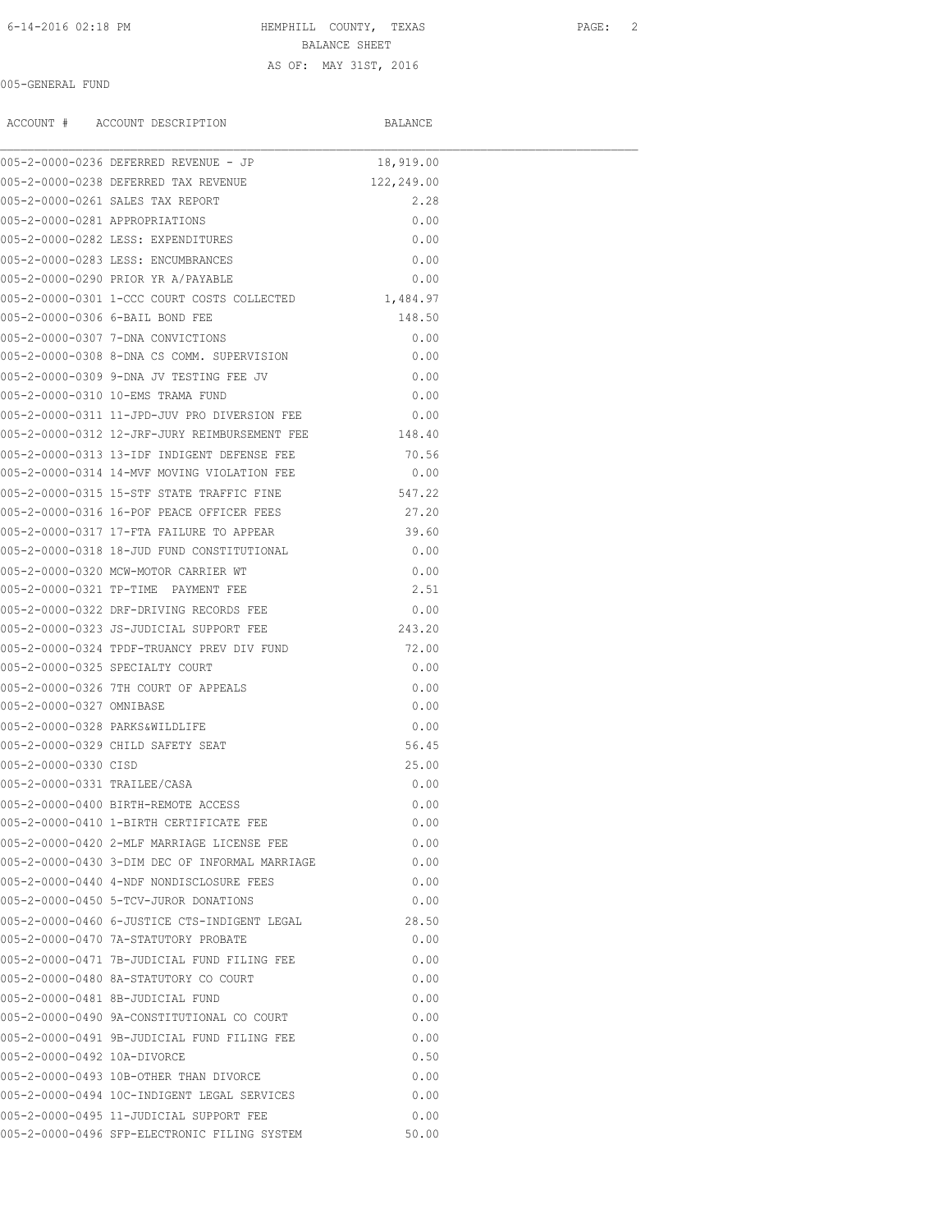6-14-2016 02:18 PM HEMPHILL COUNTY, TEXAS PAGE: 2 BALANCE SHEET

## AS OF: MAY 31ST, 2016

005-GENERAL FUND

|                              | ACCOUNT # ACCOUNT DESCRIPTION                        | BALANCE    |  |
|------------------------------|------------------------------------------------------|------------|--|
|                              | 005-2-0000-0236 DEFERRED REVENUE - JP                | 18,919.00  |  |
|                              | 005-2-0000-0238 DEFERRED TAX REVENUE                 | 122,249.00 |  |
|                              | 005-2-0000-0261 SALES TAX REPORT                     | 2.28       |  |
|                              | 005-2-0000-0281 APPROPRIATIONS                       | 0.00       |  |
|                              | 005-2-0000-0282 LESS: EXPENDITURES                   | 0.00       |  |
|                              | 005-2-0000-0283 LESS: ENCUMBRANCES                   | 0.00       |  |
|                              | 005-2-0000-0290 PRIOR YR A/PAYABLE                   | 0.00       |  |
|                              | 005-2-0000-0301 1-CCC COURT COSTS COLLECTED          | 1,484.97   |  |
|                              | 005-2-0000-0306 6-BAIL BOND FEE                      | 148.50     |  |
|                              | 005-2-0000-0307 7-DNA CONVICTIONS                    | 0.00       |  |
|                              | 005-2-0000-0308 8-DNA CS COMM. SUPERVISION           | 0.00       |  |
|                              | 005-2-0000-0309 9-DNA JV TESTING FEE JV              | 0.00       |  |
|                              | 005-2-0000-0310 10-EMS TRAMA FUND                    | 0.00       |  |
|                              | 005-2-0000-0311 11-JPD-JUV PRO DIVERSION FEE         | 0.00       |  |
|                              | 005-2-0000-0312 12-JRF-JURY REIMBURSEMENT FEE 148.40 |            |  |
|                              | 005-2-0000-0313 13-TDF INDIGENT DEFENSE FEE          | 70.56      |  |
|                              | 005-2-0000-0314 14-MVF MOVING VIOLATION FEE          | 0.00       |  |
|                              | 005-2-0000-0315 15-STF STATE TRAFFIC FINE            | 547.22     |  |
|                              | 005-2-0000-0316 16-POF PEACE OFFICER FEES            | 27.20      |  |
|                              | 005-2-0000-0317 17-FTA FAILURE TO APPEAR             | 39.60      |  |
|                              | 005-2-0000-0318 18-JUD FUND CONSTITUTIONAL           | 0.00       |  |
|                              | 005-2-0000-0320 MCW-MOTOR CARRIER WT                 | 0.00       |  |
|                              | 005-2-0000-0321 TP-TIME PAYMENT FEE                  | 2.51       |  |
|                              | 005-2-0000-0322 DRF-DRIVING RECORDS FEE              | 0.00       |  |
|                              | 005-2-0000-0323 JS-JUDICIAL SUPPORT FEE              | 243.20     |  |
|                              | 005-2-0000-0324 TPDF-TRUANCY PREV DIV FUND           | 72.00      |  |
|                              | 005-2-0000-0325 SPECIALTY COURT                      | 0.00       |  |
|                              | 005-2-0000-0326 7TH COURT OF APPEALS                 | 0.00       |  |
| 005-2-0000-0327 OMNIBASE     |                                                      | 0.00       |  |
|                              | 005-2-0000-0328 PARKS&WILDLIFE                       | 0.00       |  |
|                              | 005-2-0000-0329 CHILD SAFETY SEAT                    | 56.45      |  |
| 005-2-0000-0330 CISD         |                                                      | 25.00      |  |
| 005-2-0000-0331 TRAILEE/CASA |                                                      | 0.00       |  |
|                              | 005-2-0000-0400 BIRTH-REMOTE ACCESS                  | 0.00       |  |
|                              | 005-2-0000-0410 1-BIRTH CERTIFICATE FEE              | 0.00       |  |
|                              | 005-2-0000-0420 2-MLF MARRIAGE LICENSE FEE           | 0.00       |  |
|                              | 005-2-0000-0430 3-DIM DEC OF INFORMAL MARRIAGE       | 0.00       |  |
|                              | 005-2-0000-0440 4-NDF NONDISCLOSURE FEES             | 0.00       |  |
|                              | 005-2-0000-0450 5-TCV-JUROR DONATIONS                | 0.00       |  |
|                              | 005-2-0000-0460 6-JUSTICE CTS-INDIGENT LEGAL         | 28.50      |  |
|                              | 005-2-0000-0470 7A-STATUTORY PROBATE                 | 0.00       |  |
|                              | 005-2-0000-0471 7B-JUDICIAL FUND FILING FEE          | 0.00       |  |
|                              | 005-2-0000-0480 8A-STATUTORY CO COURT                | 0.00       |  |
|                              | 005-2-0000-0481 8B-JUDICIAL FUND                     | 0.00       |  |
|                              | 005-2-0000-0490 9A-CONSTITUTIONAL CO COURT           | 0.00       |  |
|                              | 005-2-0000-0491 9B-JUDICIAL FUND FILING FEE          | 0.00       |  |
| 005-2-0000-0492 10A-DIVORCE  |                                                      | 0.50       |  |
|                              | 005-2-0000-0493 10B-OTHER THAN DIVORCE               | 0.00       |  |
|                              | 005-2-0000-0494 10C-INDIGENT LEGAL SERVICES          | 0.00       |  |
|                              | 005-2-0000-0495 11-JUDICIAL SUPPORT FEE              | 0.00       |  |
|                              | 005-2-0000-0496 SFP-ELECTRONIC FILING SYSTEM         | 50.00      |  |
|                              |                                                      |            |  |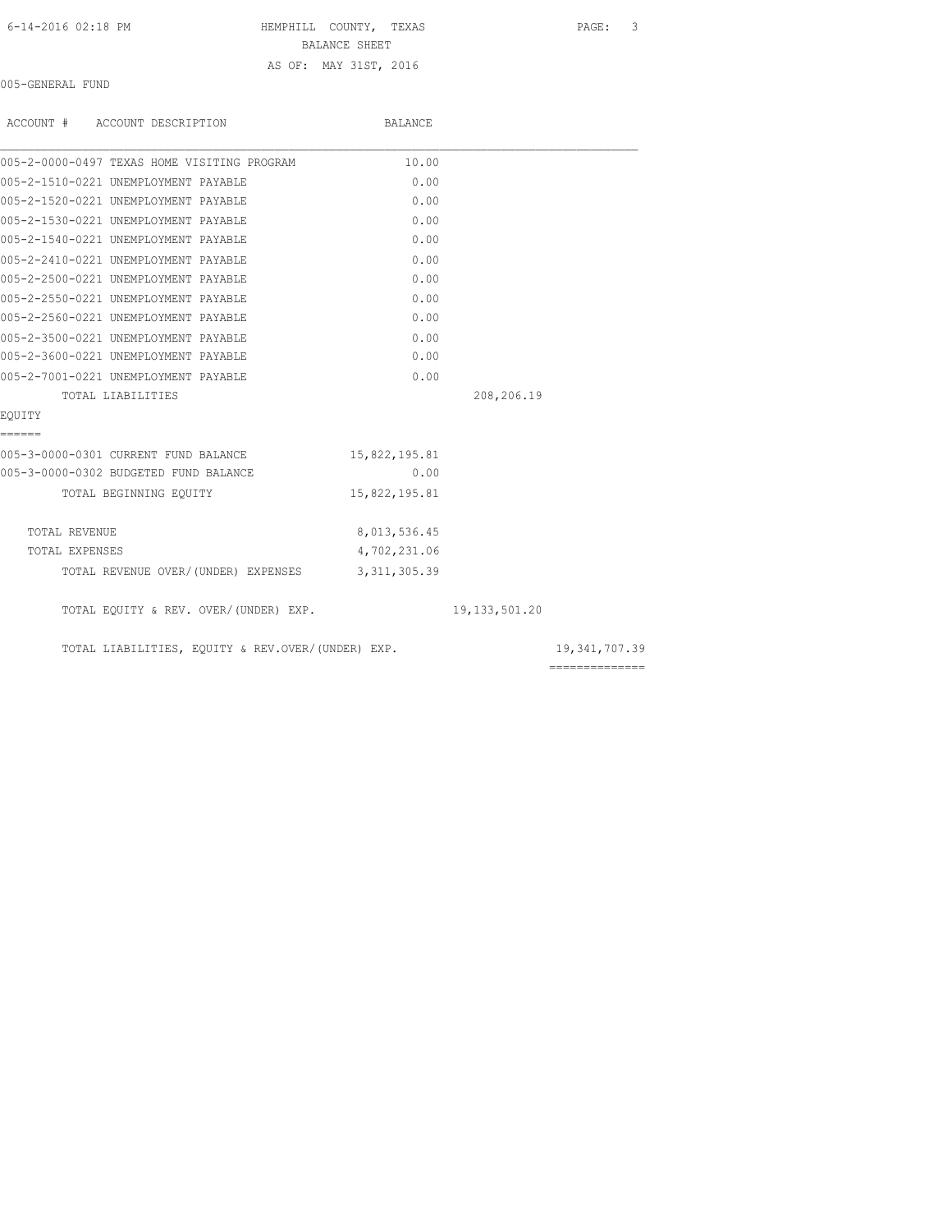6-14-2016 02:18 PM HEMPHILL COUNTY, TEXAS PAGE: 3 BALANCE SHEET AS OF: MAY 31ST, 2016

005-GENERAL FUND

| ACCOUNT # ACCOUNT DESCRIPTION                     | BALANCE       |                  |                 |
|---------------------------------------------------|---------------|------------------|-----------------|
| 005-2-0000-0497 TEXAS HOME VISITING PROGRAM       | 10.00         |                  |                 |
| 005-2-1510-0221 UNEMPLOYMENT PAYABLE              | 0.00          |                  |                 |
| 005-2-1520-0221 UNEMPLOYMENT PAYABLE              | 0.00          |                  |                 |
| 005-2-1530-0221 UNEMPLOYMENT PAYABLE              | 0.00          |                  |                 |
| 005-2-1540-0221 UNEMPLOYMENT PAYABLE              | 0.00          |                  |                 |
| 005-2-2410-0221 UNEMPLOYMENT PAYABLE              | 0.00          |                  |                 |
| 005-2-2500-0221 UNEMPLOYMENT PAYABLE              | 0.00          |                  |                 |
| 005-2-2550-0221 UNEMPLOYMENT PAYABLE              | 0.00          |                  |                 |
| 005-2-2560-0221 UNEMPLOYMENT PAYABLE              | 0.00          |                  |                 |
| 005-2-3500-0221 UNEMPLOYMENT PAYABLE              | 0.00          |                  |                 |
| 005-2-3600-0221 UNEMPLOYMENT PAYABLE              | 0.00          |                  |                 |
| 005-2-7001-0221 UNEMPLOYMENT PAYABLE              | 0.00          |                  |                 |
| TOTAL LIABILITIES                                 |               | 208,206.19       |                 |
| EOUITY                                            |               |                  |                 |
| ======                                            |               |                  |                 |
| 005-3-0000-0301 CURRENT FUND BALANCE              | 15,822,195.81 |                  |                 |
| 005-3-0000-0302 BUDGETED FUND BALANCE             | 0.00          |                  |                 |
| TOTAL BEGINNING EQUITY                            | 15,822,195.81 |                  |                 |
| TOTAL REVENUE                                     | 8,013,536.45  |                  |                 |
| TOTAL EXPENSES                                    | 4,702,231.06  |                  |                 |
| TOTAL REVENUE OVER/(UNDER) EXPENSES 3,311,305.39  |               |                  |                 |
| TOTAL EQUITY & REV. OVER/(UNDER) EXP.             |               | 19, 133, 501, 20 |                 |
| TOTAL LIABILITIES, EQUITY & REV.OVER/(UNDER) EXP. |               |                  | 19, 341, 707.39 |
|                                                   |               |                  | ==============  |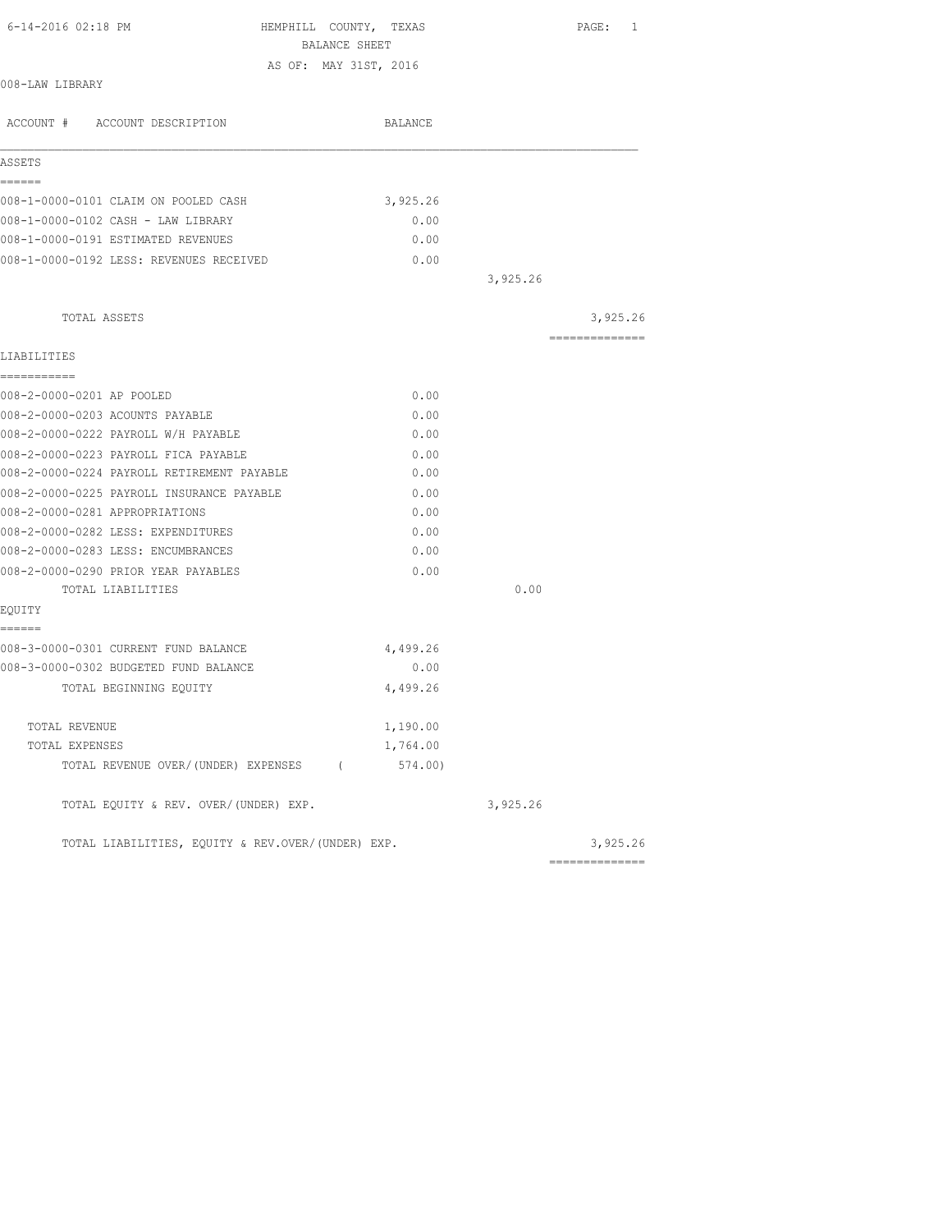| 6-14-2016 02:18 PM                                | HEMPHILL COUNTY, TEXAS<br>BALANCE SHEET | PAGE: 1        |
|---------------------------------------------------|-----------------------------------------|----------------|
|                                                   | AS OF: MAY 31ST, 2016                   |                |
| 008-LAW LIBRARY                                   |                                         |                |
| ACCOUNT # ACCOUNT DESCRIPTION                     | BALANCE                                 |                |
| ASSETS                                            |                                         |                |
| ======<br>008-1-0000-0101 CLAIM ON POOLED CASH    | 3,925.26                                |                |
| 008-1-0000-0102 CASH - LAW LIBRARY                | 0.00                                    |                |
| 008-1-0000-0191 ESTIMATED REVENUES                | 0.00                                    |                |
| 008-1-0000-0192 LESS: REVENUES RECEIVED           | 0.00                                    |                |
|                                                   |                                         | 3,925.26       |
|                                                   |                                         |                |
| TOTAL ASSETS                                      |                                         | 3,925.26       |
| LIABILITIES                                       |                                         | -------------- |
| -----------                                       |                                         |                |
| 008-2-0000-0201 AP POOLED                         | 0.00                                    |                |
| 008-2-0000-0203 ACOUNTS PAYABLE                   | 0.00                                    |                |
| 008-2-0000-0222 PAYROLL W/H PAYABLE               | 0.00                                    |                |
| 008-2-0000-0223 PAYROLL FICA PAYABLE              | 0.00                                    |                |
| 008-2-0000-0224 PAYROLL RETIREMENT PAYABLE        | 0.00                                    |                |
| 008-2-0000-0225 PAYROLL INSURANCE PAYABLE         | 0.00                                    |                |
| 008-2-0000-0281 APPROPRIATIONS                    | 0.00                                    |                |
| 008-2-0000-0282 LESS: EXPENDITURES                | 0.00                                    |                |
| 008-2-0000-0283 LESS: ENCUMBRANCES                | 0.00                                    |                |
| 008-2-0000-0290 PRIOR YEAR PAYABLES               | 0.00                                    |                |
| TOTAL LIABILITIES                                 |                                         | 0.00           |
| EQUITY<br>======                                  |                                         |                |
| 008-3-0000-0301 CURRENT FUND BALANCE              | 4,499.26                                |                |
| 008-3-0000-0302 BUDGETED FUND BALANCE             | 0.00                                    |                |
| TOTAL BEGINNING EQUITY                            | 4,499.26                                |                |
| TOTAL REVENUE                                     | 1,190.00                                |                |
| TOTAL EXPENSES                                    | 1,764.00                                |                |
| TOTAL REVENUE OVER/(UNDER) EXPENSES (             | 574.00)                                 |                |
| TOTAL EQUITY & REV. OVER/(UNDER) EXP.             |                                         | 3,925.26       |
| TOTAL LIABILITIES, EQUITY & REV.OVER/(UNDER) EXP. |                                         | 3,925.26       |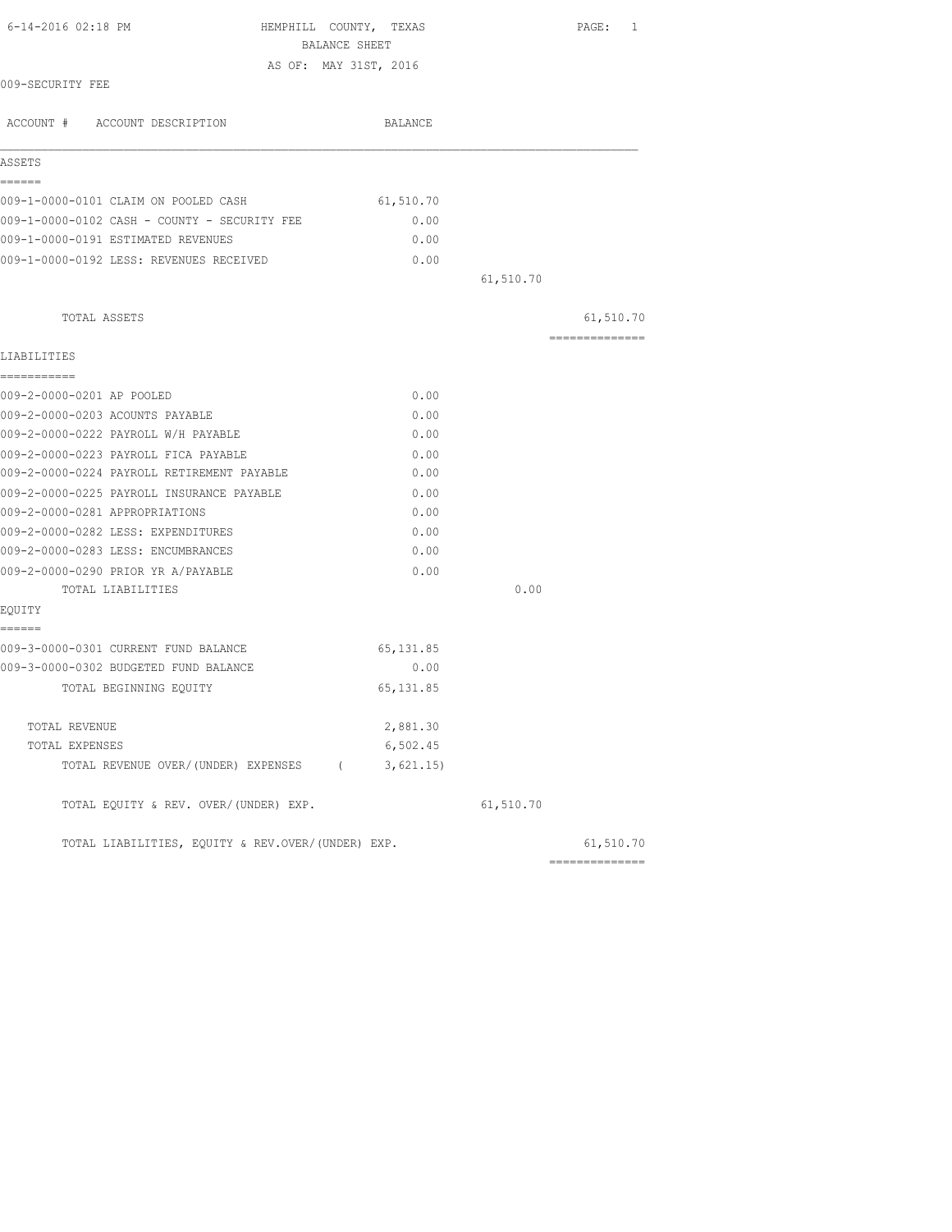| 6-14-2016 02:18 PM                                | HEMPHILL COUNTY, TEXAS<br>BALANCE SHEET |           | PAGE: 1        |
|---------------------------------------------------|-----------------------------------------|-----------|----------------|
|                                                   | AS OF: MAY 31ST, 2016                   |           |                |
| 009-SECURITY FEE                                  |                                         |           |                |
| ACCOUNT # ACCOUNT DESCRIPTION                     | BALANCE                                 |           |                |
| ASSETS                                            |                                         |           |                |
| ======<br>009-1-0000-0101 CLAIM ON POOLED CASH    | 61,510.70                               |           |                |
| 009-1-0000-0102 CASH - COUNTY - SECURITY FEE      | 0.00                                    |           |                |
| 009-1-0000-0191 ESTIMATED REVENUES                | 0.00                                    |           |                |
| 009-1-0000-0192 LESS: REVENUES RECEIVED           | 0.00                                    |           |                |
|                                                   |                                         | 61,510.70 |                |
| TOTAL ASSETS                                      |                                         |           | 61,510.70      |
| LIABILITIES                                       |                                         |           | -------------- |
| ===========                                       |                                         |           |                |
| 009-2-0000-0201 AP POOLED                         | 0.00                                    |           |                |
| 009-2-0000-0203 ACOUNTS PAYABLE                   | 0.00                                    |           |                |
| 009-2-0000-0222 PAYROLL W/H PAYABLE               | 0.00                                    |           |                |
| 009-2-0000-0223 PAYROLL FICA PAYABLE              | 0.00                                    |           |                |
| 009-2-0000-0224 PAYROLL RETIREMENT PAYABLE        | 0.00                                    |           |                |
| 009-2-0000-0225 PAYROLL INSURANCE PAYABLE         | 0.00                                    |           |                |
| 009-2-0000-0281 APPROPRIATIONS                    | 0.00                                    |           |                |
| 009-2-0000-0282 LESS: EXPENDITURES                | 0.00                                    |           |                |
| 009-2-0000-0283 LESS: ENCUMBRANCES                | 0.00                                    |           |                |
| 009-2-0000-0290 PRIOR YR A/PAYABLE                | 0.00                                    |           |                |
| TOTAL LIABILITIES                                 |                                         | 0.00      |                |
| EQUITY<br>======                                  |                                         |           |                |
| 009-3-0000-0301 CURRENT FUND BALANCE              | 65, 131.85                              |           |                |
| 009-3-0000-0302 BUDGETED FUND BALANCE             | 0.00                                    |           |                |
| TOTAL BEGINNING EQUITY                            | 65, 131.85                              |           |                |
| TOTAL REVENUE                                     | 2,881.30                                |           |                |
| TOTAL EXPENSES                                    | 6,502.45                                |           |                |
| TOTAL REVENUE OVER/(UNDER) EXPENSES (             | 3,621.15)                               |           |                |
| TOTAL EQUITY & REV. OVER/(UNDER) EXP.             |                                         | 61,510.70 |                |
| TOTAL LIABILITIES, EOUITY & REV.OVER/(UNDER) EXP. |                                         |           | 61,510.70      |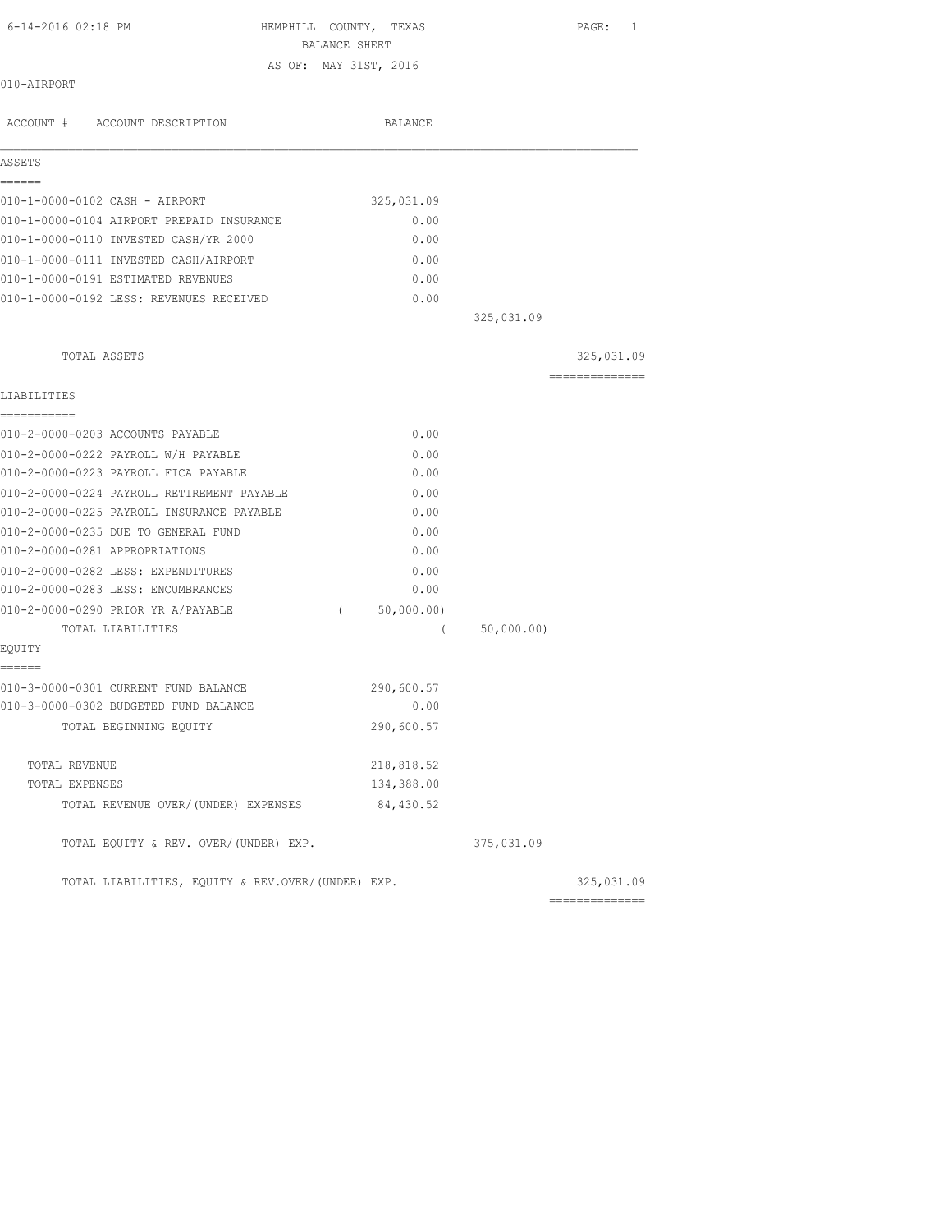| $6 - 14 - 2016$ 02:18 PM                  | HEMPHILL COUNTY, TEXAS | PAGE:      | -1 |
|-------------------------------------------|------------------------|------------|----|
|                                           | <b>BALANCE SHEET</b>   |            |    |
|                                           | AS OF: MAY 31ST, 2016  |            |    |
| 010-AIRPORT                               |                        |            |    |
|                                           |                        |            |    |
| ACCOUNT # ACCOUNT DESCRIPTION             | BALANCE                |            |    |
| ASSETS                                    |                        |            |    |
| ======                                    |                        |            |    |
| 010-1-0000-0102 CASH - AIRPORT            | 325,031.09             |            |    |
| 010-1-0000-0104 AIRPORT PREPAID INSURANCE | 0.00                   |            |    |
| 010-1-0000-0110 INVESTED CASH/YR 2000     | 0.00                   |            |    |
| 010-1-0000-0111 INVESTED CASH/AIRPORT     | 0.00                   |            |    |
| 010-1-0000-0191 ESTIMATED REVENUES        | 0.00                   |            |    |
| 010-1-0000-0192 LESS: REVENUES RECEIVED   | 0.00                   |            |    |
|                                           | 325,031.09             |            |    |
|                                           |                        |            |    |
| TOTAL ASSETS                              |                        | 325,031.09 |    |

==============

## LIA

| LIABILITIES<br>===========                        |            |            |            |
|---------------------------------------------------|------------|------------|------------|
| 010-2-0000-0203 ACCOUNTS PAYABLE                  | 0.00       |            |            |
| 010-2-0000-0222 PAYROLL W/H PAYABLE               | 0.00       |            |            |
| 010-2-0000-0223 PAYROLL FICA PAYABLE              | 0.00       |            |            |
| 010-2-0000-0224 PAYROLL RETIREMENT PAYABLE        | 0.00       |            |            |
| 010-2-0000-0225 PAYROLL INSURANCE PAYABLE         | 0.00       |            |            |
| 010-2-0000-0235 DUE TO GENERAL FUND               | 0.00       |            |            |
| 010-2-0000-0281 APPROPRIATIONS                    | 0.00       |            |            |
| 010-2-0000-0282 LESS: EXPENDITURES                | 0.00       |            |            |
| 010-2-0000-0283 LESS: ENCUMBRANCES                | 0.00       |            |            |
| 010-2-0000-0290 PRIOR YR A/PAYABLE<br>$\sqrt{2}$  | 50,000.00) |            |            |
| TOTAL LIABILITIES                                 | $\sqrt{2}$ | 50,000.00) |            |
| EQUITY                                            |            |            |            |
| ======                                            |            |            |            |
| 010-3-0000-0301 CURRENT FUND BALANCE              | 290,600.57 |            |            |
| 010-3-0000-0302 BUDGETED FUND BALANCE             | 0.00       |            |            |
| TOTAL BEGINNING EQUITY                            | 290,600.57 |            |            |
| <b>TOTAL REVENUE</b>                              | 218,818.52 |            |            |
| TOTAL EXPENSES                                    | 134,388.00 |            |            |
| TOTAL REVENUE OVER/(UNDER) EXPENSES 84,430.52     |            |            |            |
| TOTAL EQUITY & REV. OVER/(UNDER) EXP.             |            | 375,031.09 |            |
| TOTAL LIABILITIES, EQUITY & REV.OVER/(UNDER) EXP. |            |            | 325,031.09 |
|                                                   |            |            |            |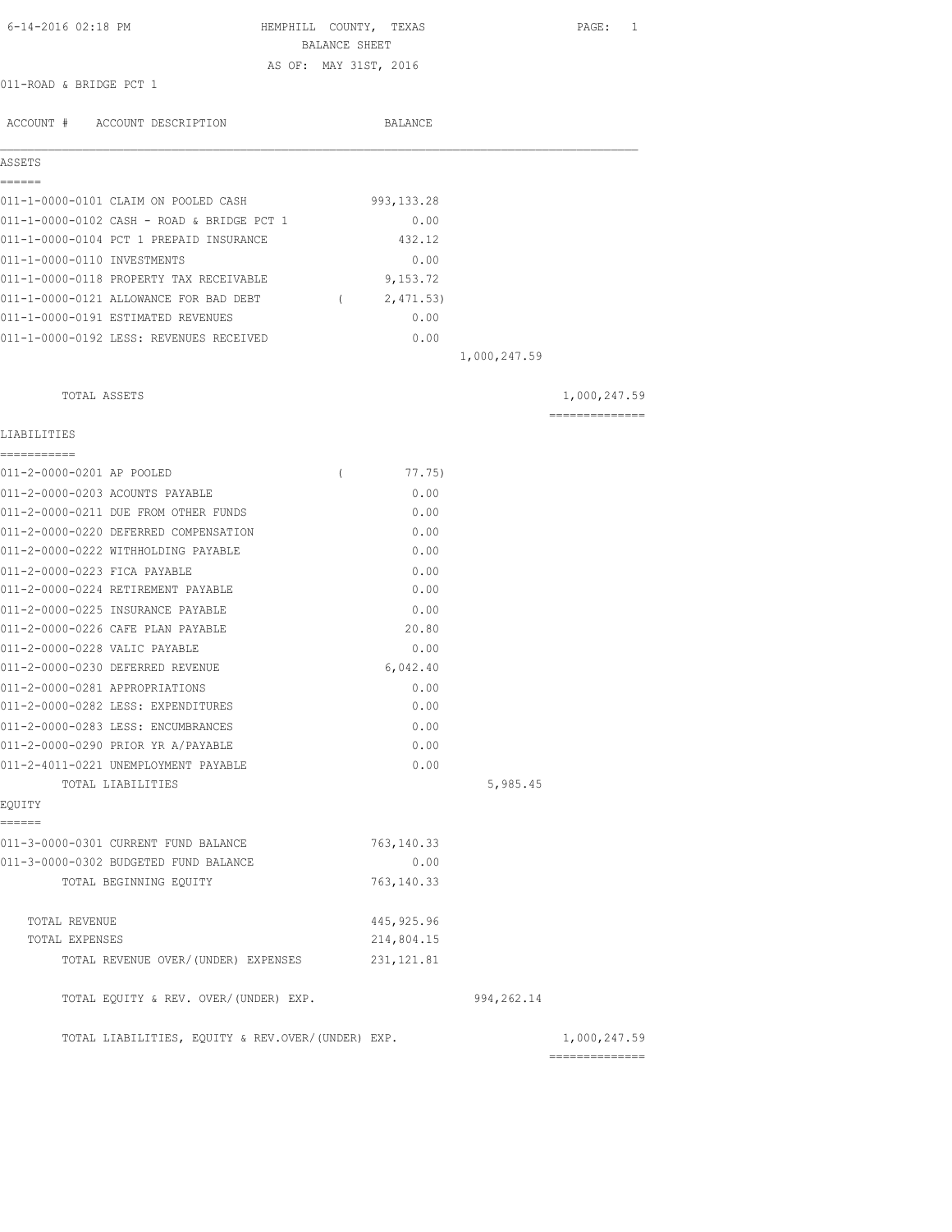| 6-14-2016 02:18 PM                                                   | HEMPHILL COUNTY, TEXAS<br>BALANCE SHEET |              | PAGE: 1        |
|----------------------------------------------------------------------|-----------------------------------------|--------------|----------------|
|                                                                      | AS OF: MAY 31ST, 2016                   |              |                |
| 011-ROAD & BRIDGE PCT 1                                              |                                         |              |                |
| ACCOUNT # ACCOUNT DESCRIPTION                                        | BALANCE                                 |              |                |
| ASSETS                                                               |                                         |              |                |
| ------                                                               |                                         |              |                |
| 011-1-0000-0101 CLAIM ON POOLED CASH                                 | 993,133.28                              |              |                |
| 011-1-0000-0102 CASH - ROAD & BRIDGE PCT 1                           | 0.00                                    |              |                |
| 011-1-0000-0104 PCT 1 PREPAID INSURANCE                              | 432.12                                  |              |                |
| 011-1-0000-0110 INVESTMENTS                                          | 0.00                                    |              |                |
| 011-1-0000-0118 PROPERTY TAX RECEIVABLE                              | 9,153.72                                |              |                |
| 011-1-0000-0121 ALLOWANCE FOR BAD DEBT (2,471.53)                    |                                         |              |                |
| 011-1-0000-0191 ESTIMATED REVENUES                                   | 0.00                                    |              |                |
| 011-1-0000-0192 LESS: REVENUES RECEIVED                              | 0.00                                    |              |                |
|                                                                      |                                         | 1,000,247.59 |                |
| TOTAL ASSETS                                                         |                                         |              | 1,000,247.59   |
| LIABILITIES                                                          |                                         |              | ============== |
| -----------                                                          |                                         |              |                |
| 011-2-0000-0201 AP POOLED                                            | 77.75)<br>$\left($                      |              |                |
| 011-2-0000-0203 ACOUNTS PAYABLE                                      | 0.00                                    |              |                |
| 011-2-0000-0211 DUE FROM OTHER FUNDS                                 | 0.00                                    |              |                |
| 011-2-0000-0220 DEFERRED COMPENSATION                                | 0.00                                    |              |                |
| 011-2-0000-0222 WITHHOLDING PAYABLE                                  | 0.00                                    |              |                |
| 011-2-0000-0223 FICA PAYABLE                                         | 0.00                                    |              |                |
| 011-2-0000-0224 RETIREMENT PAYABLE                                   | 0.00                                    |              |                |
| 011-2-0000-0225 INSURANCE PAYABLE                                    | 0.00                                    |              |                |
| 011-2-0000-0226 CAFE PLAN PAYABLE                                    | 20.80                                   |              |                |
| 011-2-0000-0228 VALIC PAYABLE<br>011-2-0000-0230 DEFERRED REVENUE    | 0.00<br>6,042.40                        |              |                |
|                                                                      |                                         |              |                |
| 011-2-0000-0281 APPROPRIATIONS<br>011-2-0000-0282 LESS: EXPENDITURES | 0.00<br>0.00                            |              |                |
| 011-2-0000-0283 LESS: ENCUMBRANCES                                   | 0.00                                    |              |                |
| 011-2-0000-0290 PRIOR YR A/PAYABLE                                   | 0.00                                    |              |                |
| 011-2-4011-0221 UNEMPLOYMENT PAYABLE                                 | 0.00                                    |              |                |
| TOTAL LIABILITIES                                                    |                                         | 5,985.45     |                |
| EQUITY                                                               |                                         |              |                |
| ======<br>011-3-0000-0301 CURRENT FUND BALANCE                       | 763,140.33                              |              |                |
| 011-3-0000-0302 BUDGETED FUND BALANCE                                | 0.00                                    |              |                |
| TOTAL BEGINNING EQUITY                                               | 763, 140.33                             |              |                |
| TOTAL REVENUE                                                        | 445, 925.96                             |              |                |
| TOTAL EXPENSES                                                       | 214,804.15                              |              |                |
| TOTAL REVENUE OVER/(UNDER) EXPENSES                                  | 231, 121.81                             |              |                |
| TOTAL EQUITY & REV. OVER/(UNDER) EXP.                                |                                         | 994, 262.14  |                |
| TOTAL LIABILITIES, EQUITY & REV.OVER/(UNDER) EXP.                    |                                         |              | 1,000,247.59   |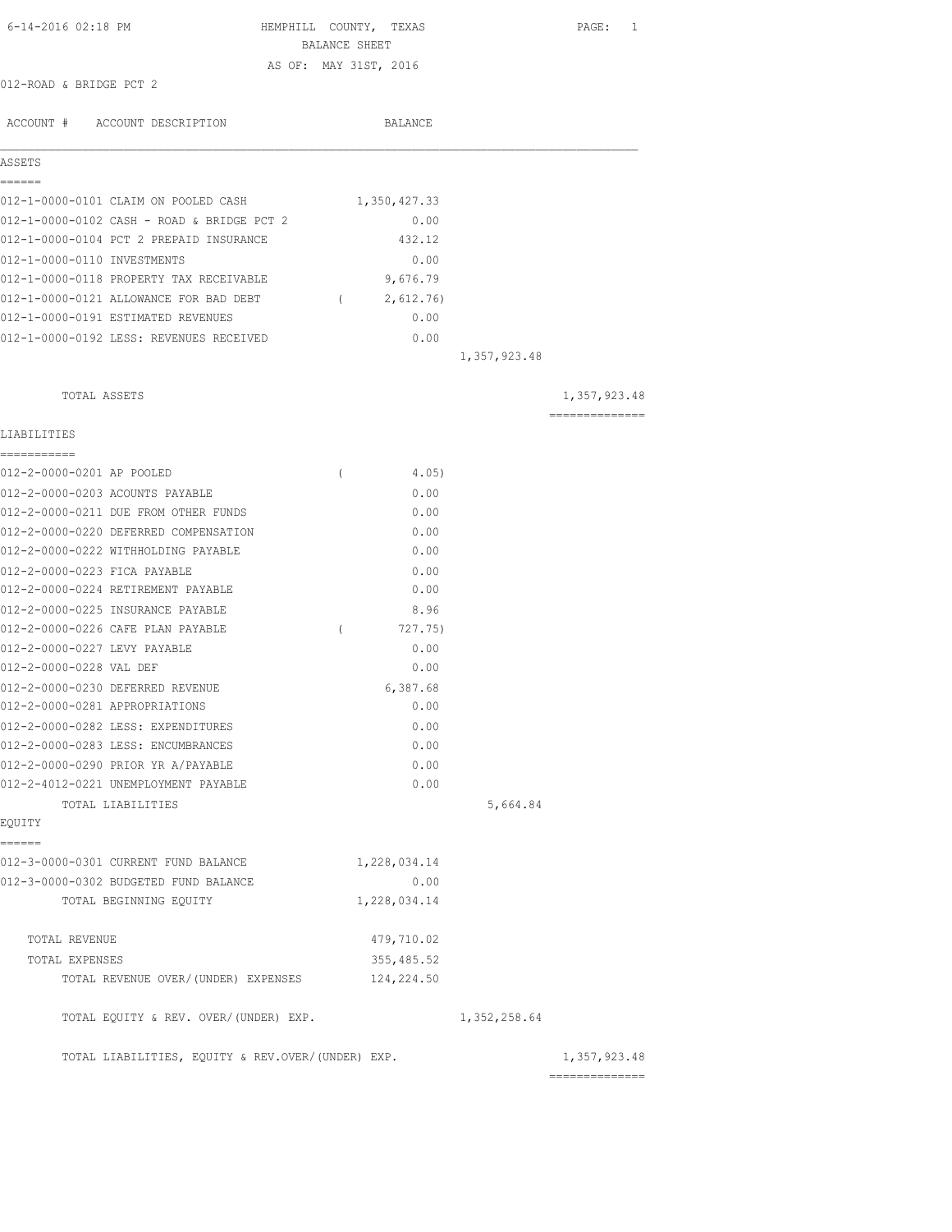| 6-14-2016 02:18 PM                                | HEMPHILL COUNTY, TEXAS  |              | PAGE: 1                                                                                                                                                                                                                                                                                                                                                                                                                                                                                |
|---------------------------------------------------|-------------------------|--------------|----------------------------------------------------------------------------------------------------------------------------------------------------------------------------------------------------------------------------------------------------------------------------------------------------------------------------------------------------------------------------------------------------------------------------------------------------------------------------------------|
|                                                   | BALANCE SHEET           |              |                                                                                                                                                                                                                                                                                                                                                                                                                                                                                        |
| 012-ROAD & BRIDGE PCT 2                           | AS OF: MAY 31ST, 2016   |              |                                                                                                                                                                                                                                                                                                                                                                                                                                                                                        |
|                                                   |                         |              |                                                                                                                                                                                                                                                                                                                                                                                                                                                                                        |
| ACCOUNT # ACCOUNT DESCRIPTION                     | BALANCE                 |              |                                                                                                                                                                                                                                                                                                                                                                                                                                                                                        |
|                                                   |                         |              |                                                                                                                                                                                                                                                                                                                                                                                                                                                                                        |
| ASSETS                                            |                         |              |                                                                                                                                                                                                                                                                                                                                                                                                                                                                                        |
| ======<br>012-1-0000-0101 CLAIM ON POOLED CASH    | 1,350,427.33            |              |                                                                                                                                                                                                                                                                                                                                                                                                                                                                                        |
| 012-1-0000-0102 CASH - ROAD & BRIDGE PCT 2        | 0.00                    |              |                                                                                                                                                                                                                                                                                                                                                                                                                                                                                        |
| 012-1-0000-0104 PCT 2 PREPAID INSURANCE           | 432.12                  |              |                                                                                                                                                                                                                                                                                                                                                                                                                                                                                        |
| 012-1-0000-0110 INVESTMENTS                       | 0.00                    |              |                                                                                                                                                                                                                                                                                                                                                                                                                                                                                        |
| 012-1-0000-0118 PROPERTY TAX RECEIVABLE           | 9,676.79                |              |                                                                                                                                                                                                                                                                                                                                                                                                                                                                                        |
| 012-1-0000-0121 ALLOWANCE FOR BAD DEBT            | 2,612.76)<br>$\sqrt{2}$ |              |                                                                                                                                                                                                                                                                                                                                                                                                                                                                                        |
| 012-1-0000-0191 ESTIMATED REVENUES                | 0.00                    |              |                                                                                                                                                                                                                                                                                                                                                                                                                                                                                        |
| 012-1-0000-0192 LESS: REVENUES RECEIVED           | 0.00                    |              |                                                                                                                                                                                                                                                                                                                                                                                                                                                                                        |
|                                                   |                         | 1,357,923.48 |                                                                                                                                                                                                                                                                                                                                                                                                                                                                                        |
|                                                   |                         |              |                                                                                                                                                                                                                                                                                                                                                                                                                                                                                        |
| TOTAL ASSETS                                      |                         |              | 1,357,923.48                                                                                                                                                                                                                                                                                                                                                                                                                                                                           |
|                                                   |                         |              | $\begin{array}{cccccccccccccc} \multicolumn{2}{c}{} & \multicolumn{2}{c}{} & \multicolumn{2}{c}{} & \multicolumn{2}{c}{} & \multicolumn{2}{c}{} & \multicolumn{2}{c}{} & \multicolumn{2}{c}{} & \multicolumn{2}{c}{} & \multicolumn{2}{c}{} & \multicolumn{2}{c}{} & \multicolumn{2}{c}{} & \multicolumn{2}{c}{} & \multicolumn{2}{c}{} & \multicolumn{2}{c}{} & \multicolumn{2}{c}{} & \multicolumn{2}{c}{} & \multicolumn{2}{c}{} & \multicolumn{2}{c}{} & \multicolumn{2}{c}{} & \$ |
| LIABILITIES<br>-----------                        |                         |              |                                                                                                                                                                                                                                                                                                                                                                                                                                                                                        |
| 012-2-0000-0201 AP POOLED                         | $\left($<br>4.05)       |              |                                                                                                                                                                                                                                                                                                                                                                                                                                                                                        |
| 012-2-0000-0203 ACOUNTS PAYABLE                   | 0.00                    |              |                                                                                                                                                                                                                                                                                                                                                                                                                                                                                        |
| 012-2-0000-0211 DUE FROM OTHER FUNDS              | 0.00                    |              |                                                                                                                                                                                                                                                                                                                                                                                                                                                                                        |
| 012-2-0000-0220 DEFERRED COMPENSATION             | 0.00                    |              |                                                                                                                                                                                                                                                                                                                                                                                                                                                                                        |
| 012-2-0000-0222 WITHHOLDING PAYABLE               | 0.00                    |              |                                                                                                                                                                                                                                                                                                                                                                                                                                                                                        |
| 012-2-0000-0223 FICA PAYABLE                      | 0.00                    |              |                                                                                                                                                                                                                                                                                                                                                                                                                                                                                        |
| 012-2-0000-0224 RETIREMENT PAYABLE                | 0.00                    |              |                                                                                                                                                                                                                                                                                                                                                                                                                                                                                        |
| 012-2-0000-0225 INSURANCE PAYABLE                 | 8.96                    |              |                                                                                                                                                                                                                                                                                                                                                                                                                                                                                        |
| 012-2-0000-0226 CAFE PLAN PAYABLE                 | $\left($<br>727.75)     |              |                                                                                                                                                                                                                                                                                                                                                                                                                                                                                        |
| 012-2-0000-0227 LEVY PAYABLE                      | 0.00                    |              |                                                                                                                                                                                                                                                                                                                                                                                                                                                                                        |
| 012-2-0000-0228 VAL DEF                           | 0.00                    |              |                                                                                                                                                                                                                                                                                                                                                                                                                                                                                        |
| 012-2-0000-0230 DEFERRED REVENUE                  | 6,387.68                |              |                                                                                                                                                                                                                                                                                                                                                                                                                                                                                        |
| 012-2-0000-0281 APPROPRIATIONS                    | 0.00                    |              |                                                                                                                                                                                                                                                                                                                                                                                                                                                                                        |
| 012-2-0000-0282 LESS: EXPENDITURES                | 0.00                    |              |                                                                                                                                                                                                                                                                                                                                                                                                                                                                                        |
| 012-2-0000-0283 LESS: ENCUMBRANCES                | 0.00                    |              |                                                                                                                                                                                                                                                                                                                                                                                                                                                                                        |
| 012-2-0000-0290 PRIOR YR A/PAYABLE                | 0.00                    |              |                                                                                                                                                                                                                                                                                                                                                                                                                                                                                        |
| 012-2-4012-0221 UNEMPLOYMENT PAYABLE              | 0.00                    |              |                                                                                                                                                                                                                                                                                                                                                                                                                                                                                        |
| TOTAL LIABILITIES                                 |                         | 5,664.84     |                                                                                                                                                                                                                                                                                                                                                                                                                                                                                        |
| EQUITY                                            |                         |              |                                                                                                                                                                                                                                                                                                                                                                                                                                                                                        |
| ======<br>012-3-0000-0301 CURRENT FUND BALANCE    |                         |              |                                                                                                                                                                                                                                                                                                                                                                                                                                                                                        |
| 012-3-0000-0302 BUDGETED FUND BALANCE             | 1,228,034.14<br>0.00    |              |                                                                                                                                                                                                                                                                                                                                                                                                                                                                                        |
| TOTAL BEGINNING EQUITY                            | 1,228,034.14            |              |                                                                                                                                                                                                                                                                                                                                                                                                                                                                                        |
|                                                   |                         |              |                                                                                                                                                                                                                                                                                                                                                                                                                                                                                        |
| TOTAL REVENUE                                     | 479,710.02              |              |                                                                                                                                                                                                                                                                                                                                                                                                                                                                                        |
| TOTAL EXPENSES                                    | 355, 485.52             |              |                                                                                                                                                                                                                                                                                                                                                                                                                                                                                        |
| TOTAL REVENUE OVER/(UNDER) EXPENSES               | 124,224.50              |              |                                                                                                                                                                                                                                                                                                                                                                                                                                                                                        |
| TOTAL EQUITY & REV. OVER/(UNDER) EXP.             |                         | 1,352,258.64 |                                                                                                                                                                                                                                                                                                                                                                                                                                                                                        |
| TOTAL LIABILITIES, EQUITY & REV.OVER/(UNDER) EXP. |                         |              | 1,357,923.48                                                                                                                                                                                                                                                                                                                                                                                                                                                                           |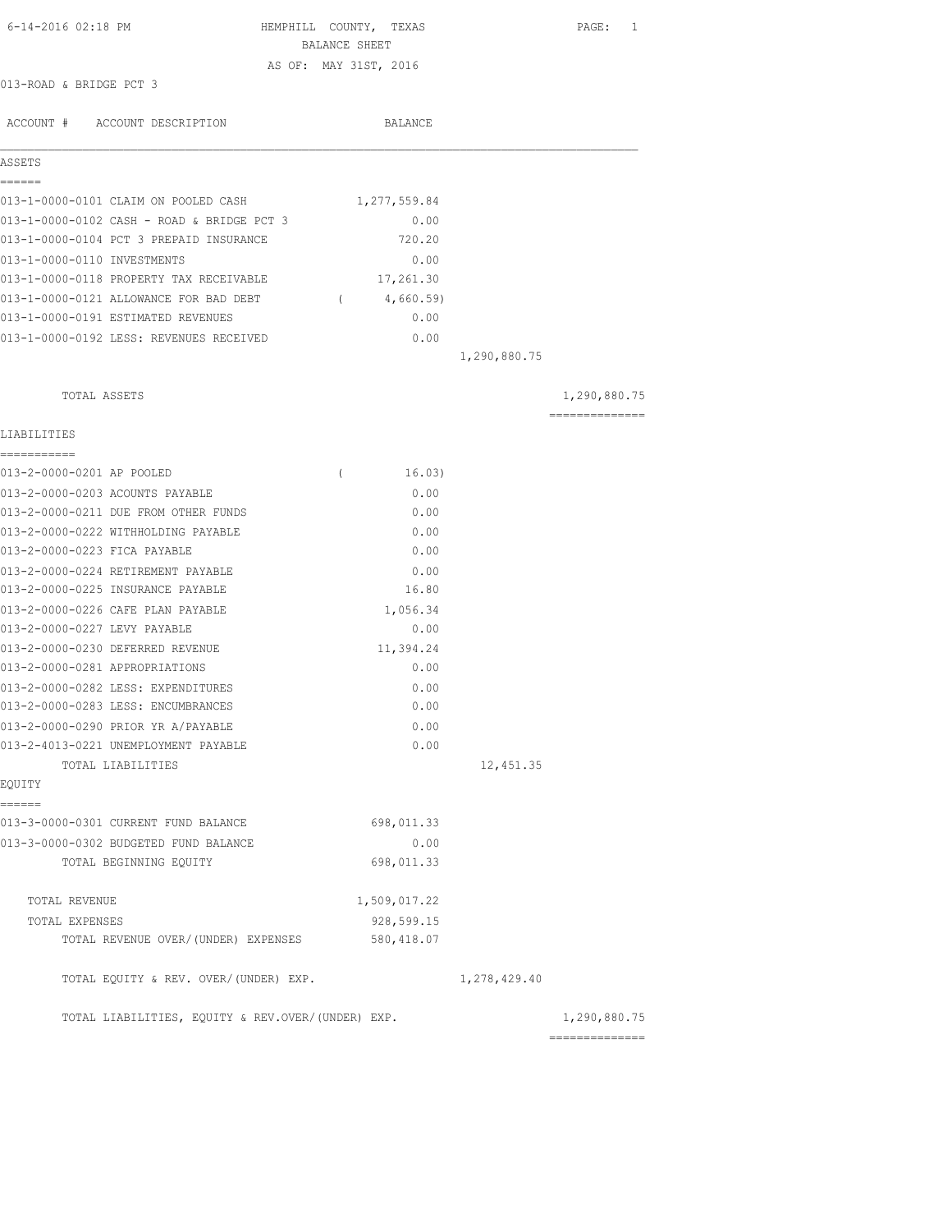| 6-14-2016 02:18 PM                                                       |          | HEMPHILL COUNTY, TEXAS<br>BALANCE SHEET |              | PAGE: 1        |
|--------------------------------------------------------------------------|----------|-----------------------------------------|--------------|----------------|
|                                                                          |          | AS OF: MAY 31ST, 2016                   |              |                |
| 013-ROAD & BRIDGE PCT 3                                                  |          |                                         |              |                |
| ACCOUNT # ACCOUNT DESCRIPTION                                            |          | BALANCE                                 |              |                |
| ASSETS                                                                   |          |                                         |              |                |
| ======<br>013-1-0000-0101 CLAIM ON POOLED CASH                           |          | 1,277,559.84                            |              |                |
| 013-1-0000-0102 CASH - ROAD & BRIDGE PCT 3                               |          | 0.00                                    |              |                |
| 013-1-0000-0104 PCT 3 PREPAID INSURANCE                                  |          | 720.20                                  |              |                |
| 013-1-0000-0110 INVESTMENTS                                              |          | 0.00                                    |              |                |
| 013-1-0000-0118 PROPERTY TAX RECEIVABLE                                  |          | 17,261.30                               |              |                |
| 013-1-0000-0121 ALLOWANCE FOR BAD DEBT                                   |          | (4,660.59)                              |              |                |
| 013-1-0000-0191 ESTIMATED REVENUES                                       |          | 0.00                                    |              |                |
| 013-1-0000-0192 LESS: REVENUES RECEIVED                                  |          | 0.00                                    |              |                |
|                                                                          |          |                                         | 1,290,880.75 |                |
| TOTAL ASSETS                                                             |          |                                         |              | 1,290,880.75   |
| LIABILITIES                                                              |          |                                         |              | ============== |
| -----------                                                              |          |                                         |              |                |
| 013-2-0000-0201 AP POOLED                                                | $\left($ | 16.03)                                  |              |                |
| 013-2-0000-0203 ACOUNTS PAYABLE                                          |          | 0.00                                    |              |                |
| 013-2-0000-0211 DUE FROM OTHER FUNDS                                     |          | 0.00                                    |              |                |
| 013-2-0000-0222 WITHHOLDING PAYABLE                                      |          | 0.00                                    |              |                |
| 013-2-0000-0223 FICA PAYABLE                                             |          | 0.00                                    |              |                |
| 013-2-0000-0224 RETIREMENT PAYABLE                                       |          | 0.00                                    |              |                |
| 013-2-0000-0225 INSURANCE PAYABLE                                        |          | 16.80                                   |              |                |
| 013-2-0000-0226 CAFE PLAN PAYABLE                                        |          | 1,056.34                                |              |                |
| 013-2-0000-0227 LEVY PAYABLE                                             |          | 0.00                                    |              |                |
| 013-2-0000-0230 DEFERRED REVENUE                                         |          | 11,394.24                               |              |                |
| 013-2-0000-0281 APPROPRIATIONS                                           |          | 0.00                                    |              |                |
| 013-2-0000-0282 LESS: EXPENDITURES<br>013-2-0000-0283 LESS: ENCUMBRANCES |          | 0.00                                    |              |                |
| 013-2-0000-0290 PRIOR YR A/PAYABLE                                       |          | 0.00                                    |              |                |
| 013-2-4013-0221 UNEMPLOYMENT PAYABLE                                     |          | 0.00<br>0.00                            |              |                |
| TOTAL LIABILITIES                                                        |          |                                         | 12,451.35    |                |
| EQUITY                                                                   |          |                                         |              |                |
| ======<br>013-3-0000-0301 CURRENT FUND BALANCE                           |          | 698,011.33                              |              |                |
| 013-3-0000-0302 BUDGETED FUND BALANCE                                    |          | 0.00                                    |              |                |
| TOTAL BEGINNING EQUITY                                                   |          | 698,011.33                              |              |                |
| TOTAL REVENUE                                                            |          | 1,509,017.22                            |              |                |
| TOTAL EXPENSES                                                           |          | 928,599.15                              |              |                |
| TOTAL REVENUE OVER/(UNDER) EXPENSES                                      |          | 580,418.07                              |              |                |
| TOTAL EQUITY & REV. OVER/(UNDER) EXP.                                    |          |                                         | 1,278,429.40 |                |
| TOTAL LIABILITIES, EQUITY & REV.OVER/(UNDER) EXP.                        |          |                                         |              | 1,290,880.75   |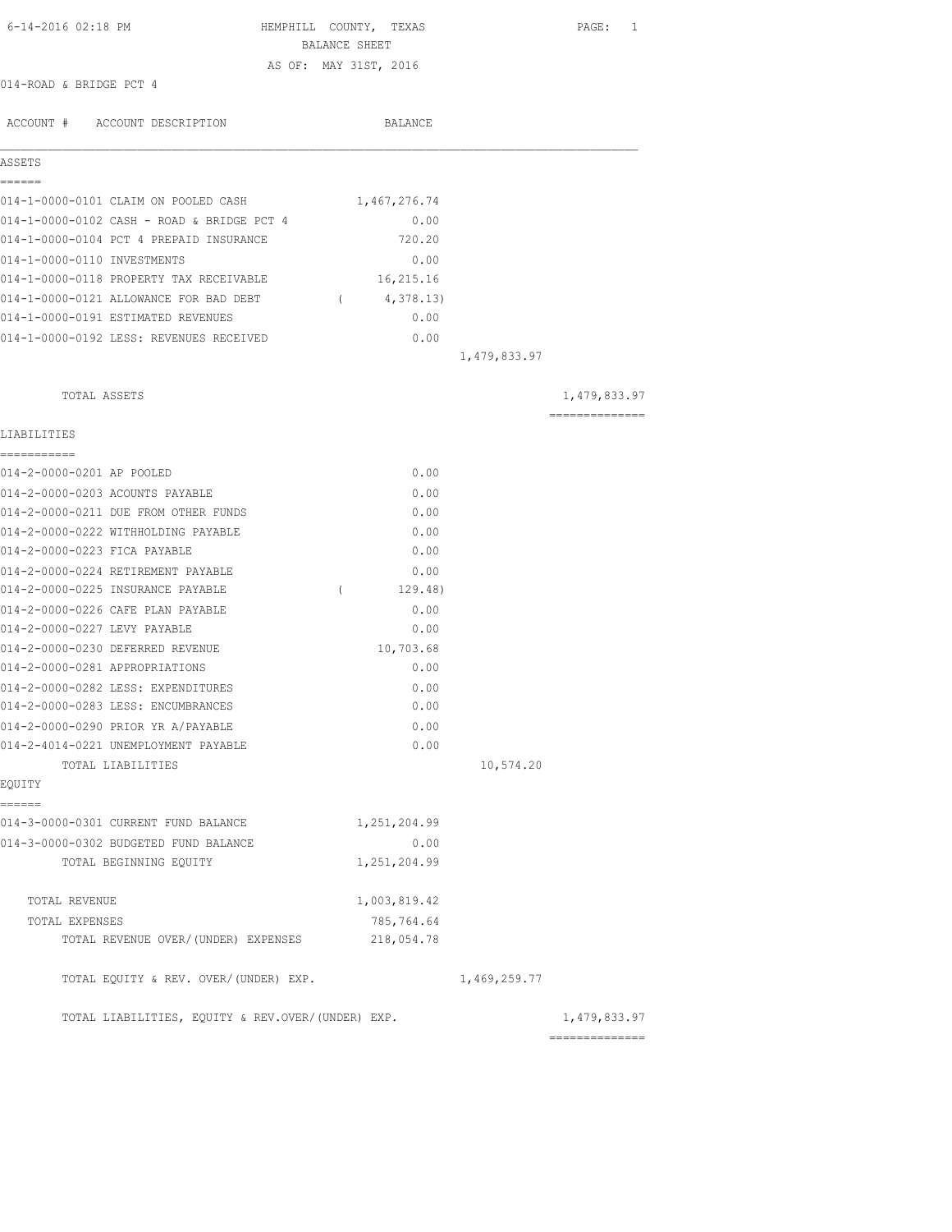| 6-14-2016 02:18 PM                                | HEMPHILL COUNTY, TEXAS            | PAGE: 1                                                                                                                                                                                                                                                                                                                                                                                                                                                                                |
|---------------------------------------------------|-----------------------------------|----------------------------------------------------------------------------------------------------------------------------------------------------------------------------------------------------------------------------------------------------------------------------------------------------------------------------------------------------------------------------------------------------------------------------------------------------------------------------------------|
|                                                   | BALANCE SHEET                     |                                                                                                                                                                                                                                                                                                                                                                                                                                                                                        |
|                                                   | AS OF: MAY 31ST, 2016             |                                                                                                                                                                                                                                                                                                                                                                                                                                                                                        |
| 014-ROAD & BRIDGE PCT 4                           |                                   |                                                                                                                                                                                                                                                                                                                                                                                                                                                                                        |
|                                                   |                                   |                                                                                                                                                                                                                                                                                                                                                                                                                                                                                        |
| ACCOUNT # ACCOUNT DESCRIPTION                     | BALANCE                           |                                                                                                                                                                                                                                                                                                                                                                                                                                                                                        |
| ASSETS                                            |                                   |                                                                                                                                                                                                                                                                                                                                                                                                                                                                                        |
| ======                                            |                                   |                                                                                                                                                                                                                                                                                                                                                                                                                                                                                        |
| 014-1-0000-0101 CLAIM ON POOLED CASH              | 1,467,276.74                      |                                                                                                                                                                                                                                                                                                                                                                                                                                                                                        |
| 014-1-0000-0102 CASH - ROAD & BRIDGE PCT 4        | 0.00                              |                                                                                                                                                                                                                                                                                                                                                                                                                                                                                        |
| 014-1-0000-0104 PCT 4 PREPAID INSURANCE           | 720.20                            |                                                                                                                                                                                                                                                                                                                                                                                                                                                                                        |
| 014-1-0000-0110 INVESTMENTS                       | 0.00                              |                                                                                                                                                                                                                                                                                                                                                                                                                                                                                        |
| 014-1-0000-0118 PROPERTY TAX RECEIVABLE           | 16,215.16                         |                                                                                                                                                                                                                                                                                                                                                                                                                                                                                        |
| 014-1-0000-0121 ALLOWANCE FOR BAD DEBT            | 4,378.13)<br>$\sim$ $\sim$ $\sim$ |                                                                                                                                                                                                                                                                                                                                                                                                                                                                                        |
| 014-1-0000-0191 ESTIMATED REVENUES                | 0.00                              |                                                                                                                                                                                                                                                                                                                                                                                                                                                                                        |
| 014-1-0000-0192 LESS: REVENUES RECEIVED           | 0.00                              |                                                                                                                                                                                                                                                                                                                                                                                                                                                                                        |
|                                                   | 1,479,833.97                      |                                                                                                                                                                                                                                                                                                                                                                                                                                                                                        |
|                                                   |                                   |                                                                                                                                                                                                                                                                                                                                                                                                                                                                                        |
| TOTAL ASSETS                                      |                                   | 1,479,833.97                                                                                                                                                                                                                                                                                                                                                                                                                                                                           |
|                                                   |                                   | $\begin{array}{cccccccccccccc} \multicolumn{2}{c}{} & \multicolumn{2}{c}{} & \multicolumn{2}{c}{} & \multicolumn{2}{c}{} & \multicolumn{2}{c}{} & \multicolumn{2}{c}{} & \multicolumn{2}{c}{} & \multicolumn{2}{c}{} & \multicolumn{2}{c}{} & \multicolumn{2}{c}{} & \multicolumn{2}{c}{} & \multicolumn{2}{c}{} & \multicolumn{2}{c}{} & \multicolumn{2}{c}{} & \multicolumn{2}{c}{} & \multicolumn{2}{c}{} & \multicolumn{2}{c}{} & \multicolumn{2}{c}{} & \multicolumn{2}{c}{} & \$ |
| LIABILITIES<br>------------                       |                                   |                                                                                                                                                                                                                                                                                                                                                                                                                                                                                        |
| 014-2-0000-0201 AP POOLED                         | 0.00                              |                                                                                                                                                                                                                                                                                                                                                                                                                                                                                        |
| 014-2-0000-0203 ACOUNTS PAYABLE                   | 0.00                              |                                                                                                                                                                                                                                                                                                                                                                                                                                                                                        |
| 014-2-0000-0211 DUE FROM OTHER FUNDS              | 0.00                              |                                                                                                                                                                                                                                                                                                                                                                                                                                                                                        |
| 014-2-0000-0222 WITHHOLDING PAYABLE               | 0.00                              |                                                                                                                                                                                                                                                                                                                                                                                                                                                                                        |
| 014-2-0000-0223 FICA PAYABLE                      | 0.00                              |                                                                                                                                                                                                                                                                                                                                                                                                                                                                                        |
| 014-2-0000-0224 RETIREMENT PAYABLE                | 0.00                              |                                                                                                                                                                                                                                                                                                                                                                                                                                                                                        |
| 014-2-0000-0225 INSURANCE PAYABLE                 | $\sqrt{2}$<br>129.48)             |                                                                                                                                                                                                                                                                                                                                                                                                                                                                                        |
| 014-2-0000-0226 CAFE PLAN PAYABLE                 | 0.00                              |                                                                                                                                                                                                                                                                                                                                                                                                                                                                                        |
| 014-2-0000-0227 LEVY PAYABLE                      | 0.00                              |                                                                                                                                                                                                                                                                                                                                                                                                                                                                                        |
| 014-2-0000-0230 DEFERRED REVENUE                  | 10,703.68                         |                                                                                                                                                                                                                                                                                                                                                                                                                                                                                        |
| 014-2-0000-0281 APPROPRIATIONS                    | 0.00                              |                                                                                                                                                                                                                                                                                                                                                                                                                                                                                        |
| 014-2-0000-0282 LESS: EXPENDITURES                | 0.00                              |                                                                                                                                                                                                                                                                                                                                                                                                                                                                                        |
| 014-2-0000-0283 LESS: ENCUMBRANCES                | 0.00                              |                                                                                                                                                                                                                                                                                                                                                                                                                                                                                        |
| 014-2-0000-0290 PRIOR YR A/PAYABLE                | 0.00                              |                                                                                                                                                                                                                                                                                                                                                                                                                                                                                        |
| 014-2-4014-0221 UNEMPLOYMENT PAYABLE              | 0.00                              |                                                                                                                                                                                                                                                                                                                                                                                                                                                                                        |
| TOTAL LIABILITIES                                 | 10,574.20                         |                                                                                                                                                                                                                                                                                                                                                                                                                                                                                        |
| EQUITY                                            |                                   |                                                                                                                                                                                                                                                                                                                                                                                                                                                                                        |
| ======<br>014-3-0000-0301 CURRENT FUND BALANCE    | 1,251,204.99                      |                                                                                                                                                                                                                                                                                                                                                                                                                                                                                        |
| 014-3-0000-0302 BUDGETED FUND BALANCE             | 0.00                              |                                                                                                                                                                                                                                                                                                                                                                                                                                                                                        |
| TOTAL BEGINNING EQUITY                            | 1,251,204.99                      |                                                                                                                                                                                                                                                                                                                                                                                                                                                                                        |
| TOTAL REVENUE                                     | 1,003,819.42                      |                                                                                                                                                                                                                                                                                                                                                                                                                                                                                        |
| TOTAL EXPENSES                                    | 785,764.64                        |                                                                                                                                                                                                                                                                                                                                                                                                                                                                                        |
| TOTAL REVENUE OVER/(UNDER) EXPENSES               | 218,054.78                        |                                                                                                                                                                                                                                                                                                                                                                                                                                                                                        |
| TOTAL EQUITY & REV. OVER/(UNDER) EXP.             | 1,469,259.77                      |                                                                                                                                                                                                                                                                                                                                                                                                                                                                                        |
| TOTAL LIABILITIES, EQUITY & REV.OVER/(UNDER) EXP. |                                   | 1,479,833.97                                                                                                                                                                                                                                                                                                                                                                                                                                                                           |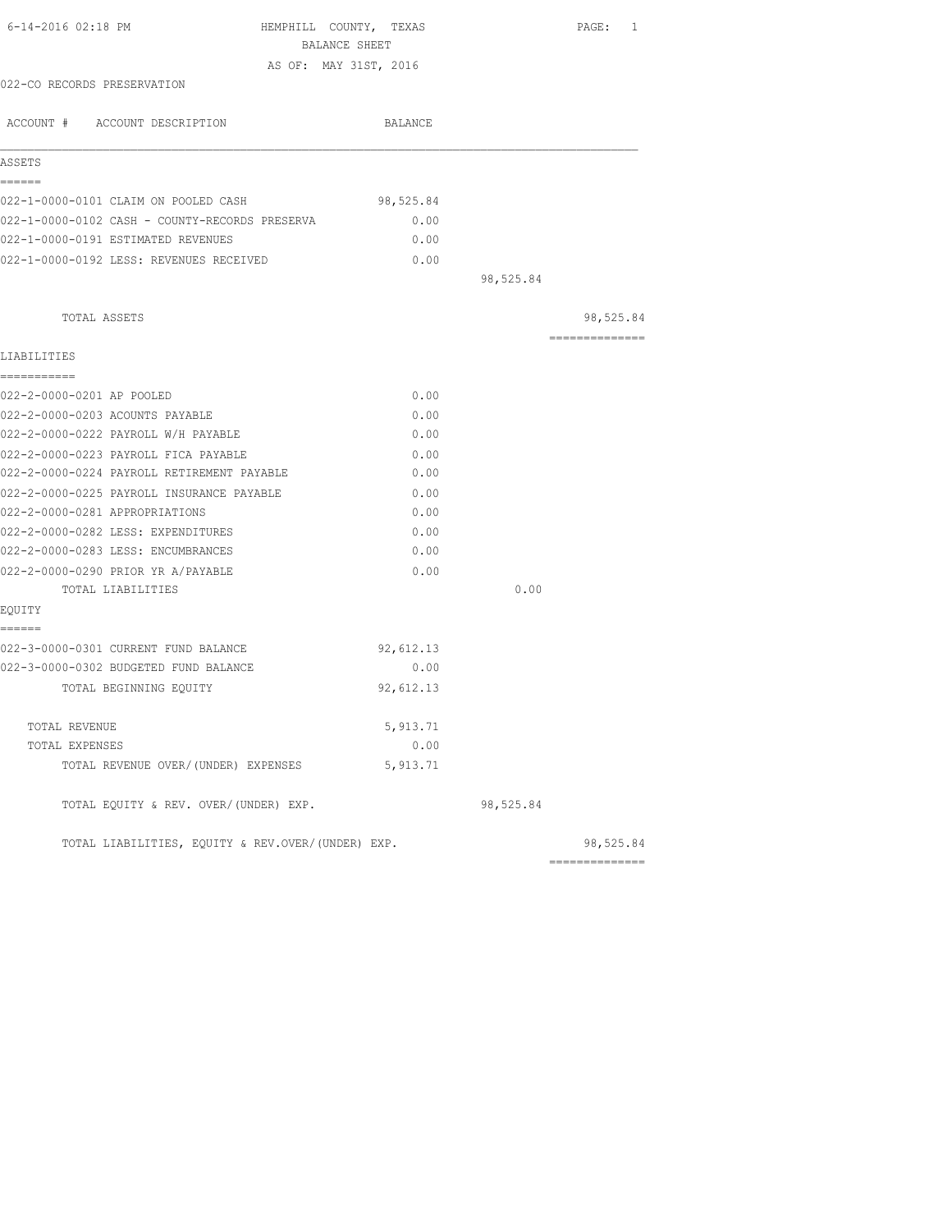| 6-14-2016 02:18 PM                                                            | HEMPHILL COUNTY, TEXAS<br>BALANCE SHEET |           | PAGE: 1                     |
|-------------------------------------------------------------------------------|-----------------------------------------|-----------|-----------------------------|
|                                                                               | AS OF: MAY 31ST, 2016                   |           |                             |
| 022-CO RECORDS PRESERVATION                                                   |                                         |           |                             |
| ACCOUNT # ACCOUNT DESCRIPTION                                                 | BALANCE                                 |           |                             |
| ASSETS                                                                        |                                         |           |                             |
| ======                                                                        |                                         |           |                             |
| 022-1-0000-0101 CLAIM ON POOLED CASH                                          | 98,525.84                               |           |                             |
| 022-1-0000-0102 CASH - COUNTY-RECORDS PRESERVA                                | 0.00                                    |           |                             |
| 022-1-0000-0191 ESTIMATED REVENUES                                            | 0.00                                    |           |                             |
| 022-1-0000-0192 LESS: REVENUES RECEIVED                                       | 0.00                                    |           |                             |
|                                                                               |                                         | 98,525.84 |                             |
| TOTAL ASSETS                                                                  |                                         |           | 98,525.84                   |
| LIABILITIES                                                                   |                                         |           | ==============              |
| -----------                                                                   |                                         |           |                             |
| 022-2-0000-0201 AP POOLED                                                     | 0.00                                    |           |                             |
| 022-2-0000-0203 ACOUNTS PAYABLE                                               | 0.00                                    |           |                             |
| 022-2-0000-0222 PAYROLL W/H PAYABLE                                           | 0.00                                    |           |                             |
| 022-2-0000-0223 PAYROLL FICA PAYABLE                                          | 0.00                                    |           |                             |
| 022-2-0000-0224 PAYROLL RETIREMENT PAYABLE                                    | 0.00                                    |           |                             |
| 022-2-0000-0225 PAYROLL INSURANCE PAYABLE                                     | 0.00                                    |           |                             |
| 022-2-0000-0281 APPROPRIATIONS                                                | 0.00                                    |           |                             |
| 022-2-0000-0282 LESS: EXPENDITURES                                            | 0.00                                    |           |                             |
| 022-2-0000-0283 LESS: ENCUMBRANCES                                            | 0.00                                    |           |                             |
| 022-2-0000-0290 PRIOR YR A/PAYABLE                                            | 0.00                                    |           |                             |
| TOTAL LIABILITIES                                                             |                                         | 0.00      |                             |
| EQUITY                                                                        |                                         |           |                             |
| ======                                                                        |                                         |           |                             |
| 022-3-0000-0301 CURRENT FUND BALANCE<br>022-3-0000-0302 BUDGETED FUND BALANCE | 92,612.13<br>0.00                       |           |                             |
|                                                                               |                                         |           |                             |
| TOTAL BEGINNING EOUITY                                                        | 92,612.13                               |           |                             |
| TOTAL REVENUE                                                                 | 5, 913.71                               |           |                             |
| TOTAL EXPENSES                                                                | 0.00                                    |           |                             |
| TOTAL REVENUE OVER/(UNDER) EXPENSES                                           | 5,913.71                                |           |                             |
| TOTAL EQUITY & REV. OVER/(UNDER) EXP.                                         |                                         | 98,525.84 |                             |
| TOTAL LIABILITIES, EOUITY & REV.OVER/(UNDER) EXP.                             |                                         |           | 98,525.84<br>============== |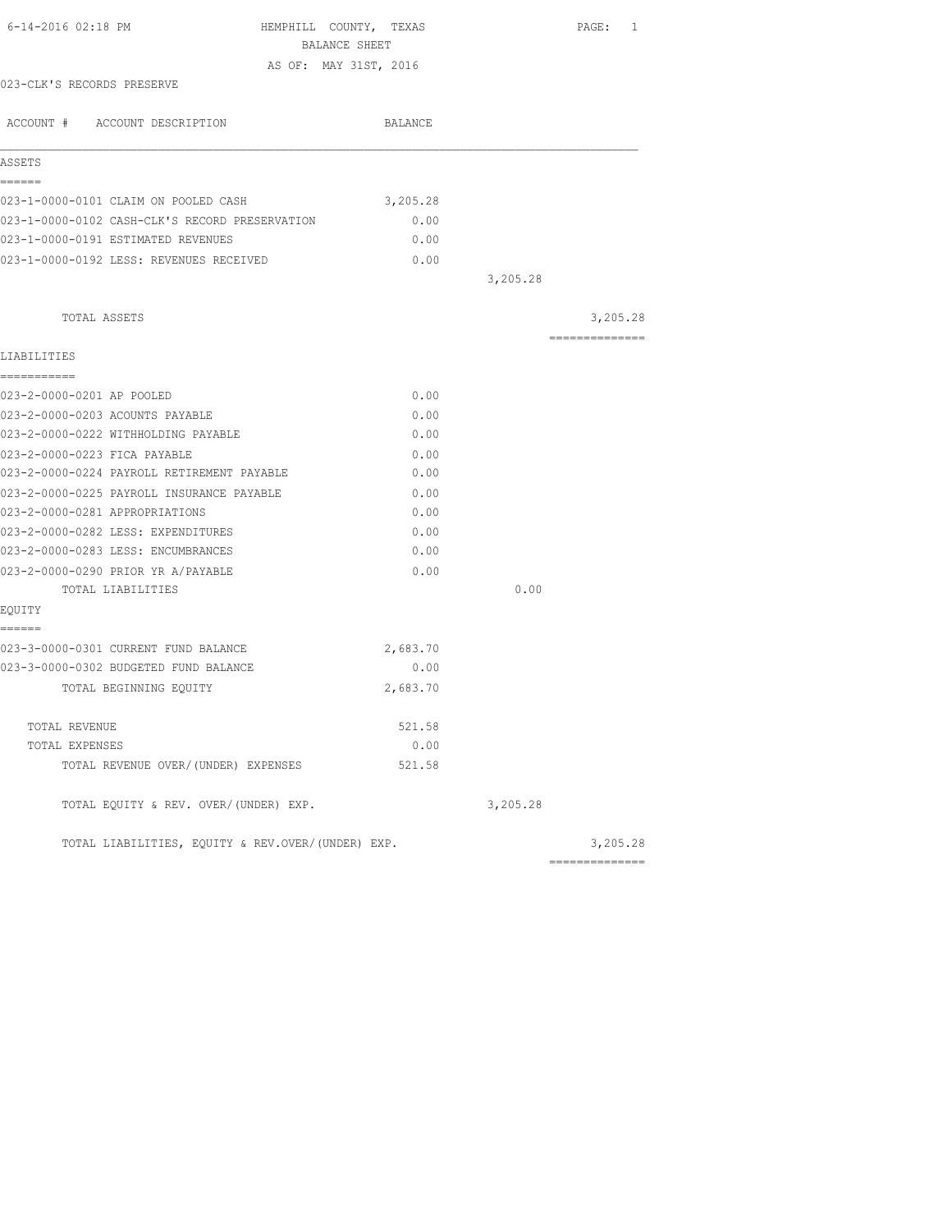| 6-14-2016 02:18 PM                                | HEMPHILL COUNTY, TEXAS<br>BALANCE SHEET |          | PAGE: 1        |
|---------------------------------------------------|-----------------------------------------|----------|----------------|
|                                                   | AS OF: MAY 31ST, 2016                   |          |                |
| 023-CLK'S RECORDS PRESERVE                        |                                         |          |                |
| ACCOUNT # ACCOUNT DESCRIPTION                     | BALANCE                                 |          |                |
| ASSETS                                            |                                         |          |                |
| ======                                            |                                         |          |                |
| 023-1-0000-0101 CLAIM ON POOLED CASH              | 3,205.28                                |          |                |
| 023-1-0000-0102 CASH-CLK'S RECORD PRESERVATION    | 0.00                                    |          |                |
| 023-1-0000-0191 ESTIMATED REVENUES                | 0.00                                    |          |                |
| 023-1-0000-0192 LESS: REVENUES RECEIVED           | 0.00                                    |          |                |
|                                                   |                                         | 3,205.28 |                |
| TOTAL ASSETS                                      |                                         |          | 3,205.28       |
|                                                   |                                         |          | -------------- |
| LIABILITIES                                       |                                         |          |                |
| ===========                                       |                                         |          |                |
| 023-2-0000-0201 AP POOLED                         | 0.00                                    |          |                |
| 023-2-0000-0203 ACOUNTS PAYABLE                   | 0.00                                    |          |                |
| 023-2-0000-0222 WITHHOLDING PAYABLE               | 0.00                                    |          |                |
| 023-2-0000-0223 FICA PAYABLE                      | 0.00                                    |          |                |
| 023-2-0000-0224 PAYROLL RETIREMENT PAYABLE        | 0.00                                    |          |                |
| 023-2-0000-0225 PAYROLL INSURANCE PAYABLE         | 0.00                                    |          |                |
| 023-2-0000-0281 APPROPRIATIONS                    | 0.00                                    |          |                |
| 023-2-0000-0282 LESS: EXPENDITURES                | 0.00                                    |          |                |
| 023-2-0000-0283 LESS: ENCUMBRANCES                | 0.00                                    |          |                |
| 023-2-0000-0290 PRIOR YR A/PAYABLE                | 0.00                                    |          |                |
| TOTAL LIABILITIES                                 |                                         | 0.00     |                |
| EQUITY                                            |                                         |          |                |
| ------                                            |                                         |          |                |
| 023-3-0000-0301 CURRENT FUND BALANCE              | 2,683.70                                |          |                |
| 023-3-0000-0302 BUDGETED FUND BALANCE             | 0.00                                    |          |                |
| TOTAL BEGINNING EQUITY                            | 2,683.70                                |          |                |
| TOTAL REVENUE                                     | 521.58                                  |          |                |
| TOTAL EXPENSES                                    | 0.00                                    |          |                |
| TOTAL REVENUE OVER/(UNDER) EXPENSES               | 521.58                                  |          |                |
| TOTAL EQUITY & REV. OVER/(UNDER) EXP.             |                                         | 3,205.28 |                |
| TOTAL LIABILITIES, EOUITY & REV.OVER/(UNDER) EXP. |                                         |          | 3,205.28       |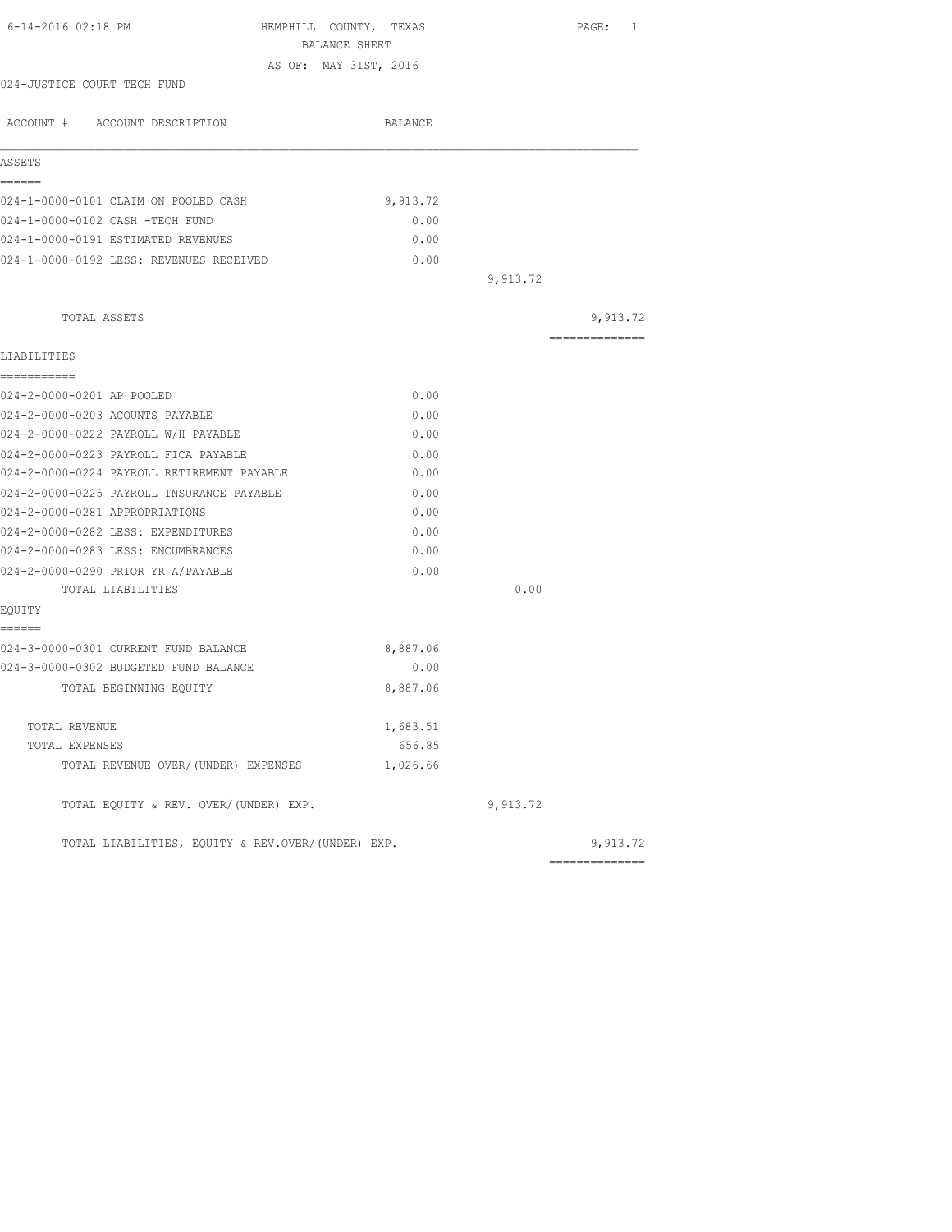| 6-14-2016 02:18 PM<br>HEMPHILL COUNTY, TEXAS<br>BALANCE SHEET |          |          | PAGE: 1         |
|---------------------------------------------------------------|----------|----------|-----------------|
| AS OF: MAY 31ST, 2016                                         |          |          |                 |
| 024-JUSTICE COURT TECH FUND                                   |          |          |                 |
| ACCOUNT # ACCOUNT DESCRIPTION                                 | BALANCE  |          |                 |
| ASSETS                                                        |          |          |                 |
| ------                                                        |          |          |                 |
| 024-1-0000-0101 CLAIM ON POOLED CASH                          | 9,913.72 |          |                 |
| 024-1-0000-0102 CASH -TECH FUND                               | 0.00     |          |                 |
| 024-1-0000-0191 ESTIMATED REVENUES                            | 0.00     |          |                 |
| 024-1-0000-0192 LESS: REVENUES RECEIVED                       | 0.00     |          |                 |
|                                                               |          | 9,913.72 |                 |
| TOTAL ASSETS                                                  |          |          | 9,913.72        |
| LIABILITIES                                                   |          |          | --------------- |
| ------------                                                  |          |          |                 |
| 024-2-0000-0201 AP POOLED                                     | 0.00     |          |                 |
| 024-2-0000-0203 ACOUNTS PAYABLE                               | 0.00     |          |                 |
| 024-2-0000-0222 PAYROLL W/H PAYABLE                           | 0.00     |          |                 |
| 024-2-0000-0223 PAYROLL FICA PAYABLE                          | 0.00     |          |                 |
| 024-2-0000-0224 PAYROLL RETIREMENT PAYABLE                    | 0.00     |          |                 |
| 024-2-0000-0225 PAYROLL INSURANCE PAYABLE                     | 0.00     |          |                 |
| 024-2-0000-0281 APPROPRIATIONS                                | 0.00     |          |                 |
| 024-2-0000-0282 LESS: EXPENDITURES                            | 0.00     |          |                 |
| 024-2-0000-0283 LESS: ENCUMBRANCES                            | 0.00     |          |                 |
| 024-2-0000-0290 PRIOR YR A/PAYABLE                            | 0.00     |          |                 |
| TOTAL LIABILITIES                                             |          | 0.00     |                 |
| EQUITY                                                        |          |          |                 |
| ======<br>024-3-0000-0301 CURRENT FUND BALANCE                | 8,887.06 |          |                 |
| 024-3-0000-0302 BUDGETED FUND BALANCE                         | 0.00     |          |                 |
| TOTAL BEGINNING EOUITY                                        | 8,887.06 |          |                 |
| TOTAL REVENUE                                                 | 1,683.51 |          |                 |
| TOTAL EXPENSES                                                | 656.85   |          |                 |
| TOTAL REVENUE OVER/(UNDER) EXPENSES                           | 1,026.66 |          |                 |
| TOTAL EQUITY & REV. OVER/(UNDER) EXP.                         |          | 9,913.72 |                 |
| TOTAL LIABILITIES, EQUITY & REV.OVER/(UNDER) EXP.             |          |          | 9,913.72        |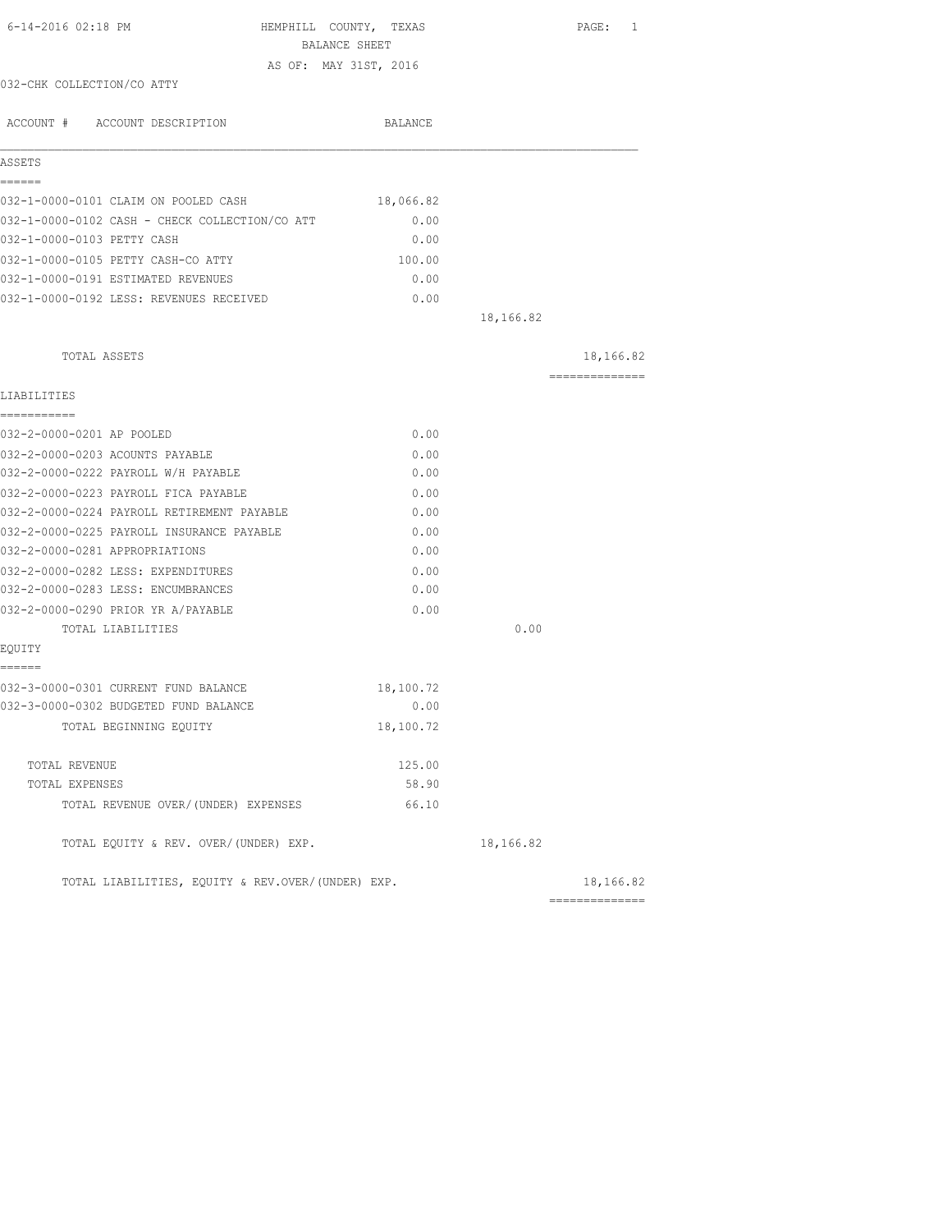| 6-14-2016 02:18 PM<br>HEMPHILL COUNTY, TEXAS      | BALANCE SHEET |           | PAGE: 1                      |
|---------------------------------------------------|---------------|-----------|------------------------------|
| AS OF: MAY 31ST, 2016                             |               |           |                              |
| 032-CHK COLLECTION/CO ATTY                        |               |           |                              |
| ACCOUNT # ACCOUNT DESCRIPTION                     | BALANCE       |           |                              |
| ASSETS                                            |               |           |                              |
| ------                                            |               |           |                              |
| 032-1-0000-0101 CLAIM ON POOLED CASH              | 18,066.82     |           |                              |
| 032-1-0000-0102 CASH - CHECK COLLECTION/CO ATT    | 0.00          |           |                              |
| 032-1-0000-0103 PETTY CASH                        | 0.00          |           |                              |
| 032-1-0000-0105 PETTY CASH-CO ATTY                | 100.00        |           |                              |
| 032-1-0000-0191 ESTIMATED REVENUES                | 0.00          |           |                              |
| 032-1-0000-0192 LESS: REVENUES RECEIVED           | 0.00          |           |                              |
|                                                   |               | 18,166.82 |                              |
| TOTAL ASSETS                                      |               |           | 18,166.82                    |
| LIABILITIES                                       |               |           | ==============               |
| ------------                                      |               |           |                              |
| 032-2-0000-0201 AP POOLED                         | 0.00          |           |                              |
| 032-2-0000-0203 ACOUNTS PAYABLE                   | 0.00          |           |                              |
| 032-2-0000-0222 PAYROLL W/H PAYABLE               | 0.00          |           |                              |
| 032-2-0000-0223 PAYROLL FICA PAYABLE              | 0.00          |           |                              |
| 032-2-0000-0224 PAYROLL RETIREMENT PAYABLE        | 0.00          |           |                              |
| 032-2-0000-0225 PAYROLL INSURANCE PAYABLE         | 0.00          |           |                              |
| 032-2-0000-0281 APPROPRIATIONS                    | 0.00          |           |                              |
| 032-2-0000-0282 LESS: EXPENDITURES                | 0.00          |           |                              |
| 032-2-0000-0283 LESS: ENCUMBRANCES                | 0.00          |           |                              |
| 032-2-0000-0290 PRIOR YR A/PAYABLE                | 0.00          |           |                              |
| TOTAL LIABILITIES                                 |               | 0.00      |                              |
| EQUITY                                            |               |           |                              |
| ======<br>032-3-0000-0301 CURRENT FUND BALANCE    | 18,100.72     |           |                              |
| 032-3-0000-0302 BUDGETED FUND BALANCE             | 0.00          |           |                              |
| TOTAL BEGINNING EQUITY                            | 18,100.72     |           |                              |
| TOTAL REVENUE                                     | 125.00        |           |                              |
| TOTAL EXPENSES                                    | 58.90         |           |                              |
| TOTAL REVENUE OVER/(UNDER) EXPENSES               | 66.10         |           |                              |
| TOTAL EQUITY & REV. OVER/(UNDER) EXP.             |               | 18,166.82 |                              |
| TOTAL LIABILITIES, EQUITY & REV.OVER/(UNDER) EXP. |               |           | 18,166.82<br>--------------- |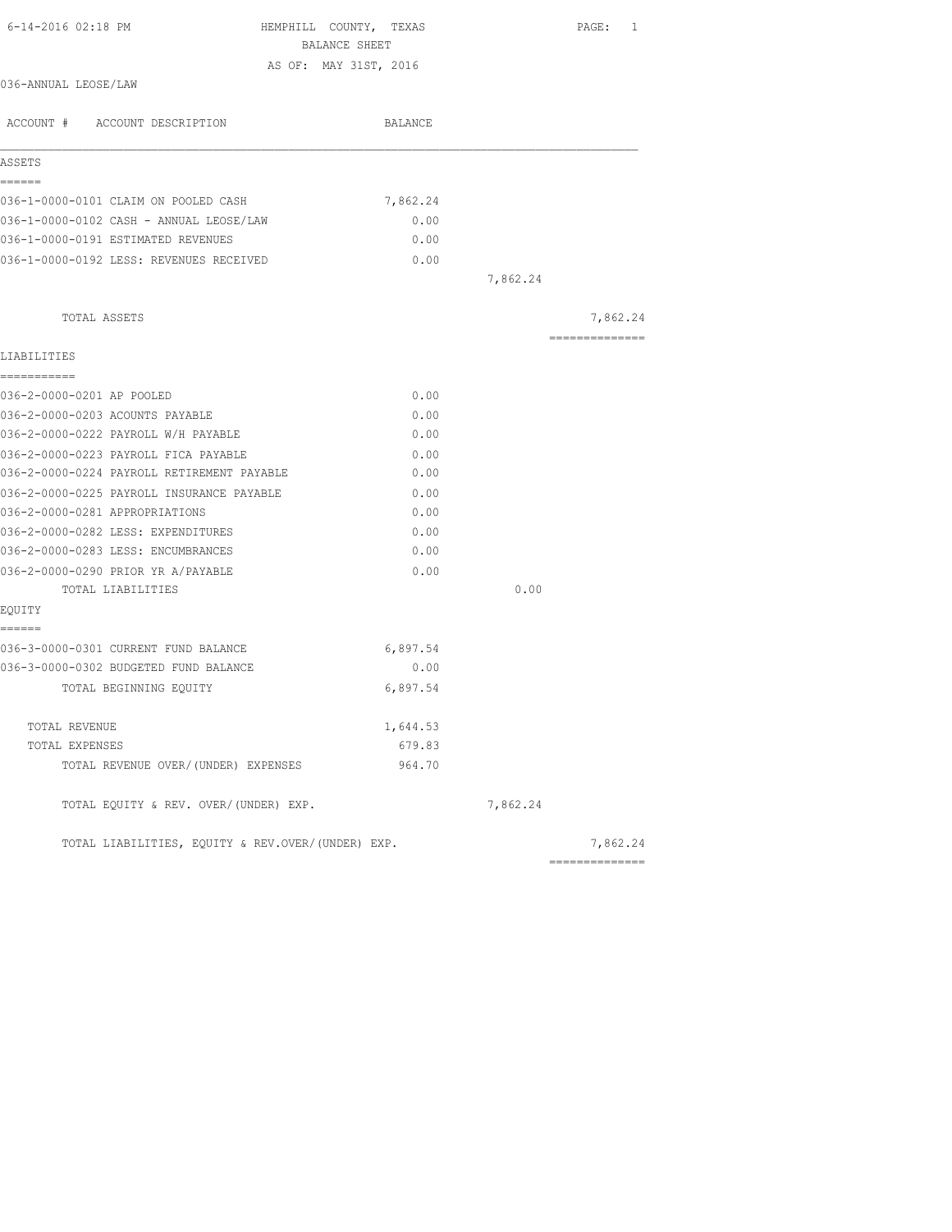| 6-14-2016 02:18 PM<br>HEMPHILL COUNTY, TEXAS<br>BALANCE SHEET |          |          | PAGE: 1        |
|---------------------------------------------------------------|----------|----------|----------------|
| AS OF: MAY 31ST, 2016                                         |          |          |                |
| 036-ANNUAL LEOSE/LAW                                          |          |          |                |
| ACCOUNT # ACCOUNT DESCRIPTION                                 | BALANCE  |          |                |
| ASSETS                                                        |          |          |                |
| ======<br>036-1-0000-0101 CLAIM ON POOLED CASH                | 7,862.24 |          |                |
| 036-1-0000-0102 CASH - ANNUAL LEOSE/LAW                       | 0.00     |          |                |
| 036-1-0000-0191 ESTIMATED REVENUES                            | 0.00     |          |                |
| 036-1-0000-0192 LESS: REVENUES RECEIVED                       | 0.00     |          |                |
|                                                               |          | 7,862.24 |                |
| TOTAL ASSETS                                                  |          |          | 7,862.24       |
| LIABILITIES                                                   |          |          | ============== |
| -----------                                                   |          |          |                |
| 036-2-0000-0201 AP POOLED                                     | 0.00     |          |                |
| 036-2-0000-0203 ACOUNTS PAYABLE                               | 0.00     |          |                |
| 036-2-0000-0222 PAYROLL W/H PAYABLE                           | 0.00     |          |                |
| 036-2-0000-0223 PAYROLL FICA PAYABLE                          | 0.00     |          |                |
| 036-2-0000-0224 PAYROLL RETIREMENT PAYABLE                    | 0.00     |          |                |
| 036-2-0000-0225 PAYROLL INSURANCE PAYABLE                     | 0.00     |          |                |
| 036-2-0000-0281 APPROPRIATIONS                                | 0.00     |          |                |
| 036-2-0000-0282 LESS: EXPENDITURES                            | 0.00     |          |                |
| 036-2-0000-0283 LESS: ENCUMBRANCES                            | 0.00     |          |                |
| 036-2-0000-0290 PRIOR YR A/PAYABLE                            | 0.00     |          |                |
| TOTAL LIABILITIES                                             |          | 0.00     |                |
| EQUITY<br>======                                              |          |          |                |
| 036-3-0000-0301 CURRENT FUND BALANCE                          | 6,897.54 |          |                |
| 036-3-0000-0302 BUDGETED FUND BALANCE                         | 0.00     |          |                |
| TOTAL BEGINNING EQUITY                                        | 6,897.54 |          |                |
| TOTAL REVENUE                                                 | 1,644.53 |          |                |
| TOTAL EXPENSES                                                | 679.83   |          |                |
| TOTAL REVENUE OVER/(UNDER) EXPENSES                           | 964.70   |          |                |
| TOTAL EQUITY & REV. OVER/(UNDER) EXP.                         |          | 7,862.24 |                |
| TOTAL LIABILITIES, EOUITY & REV.OVER/(UNDER) EXP.             |          |          | 7,862.24       |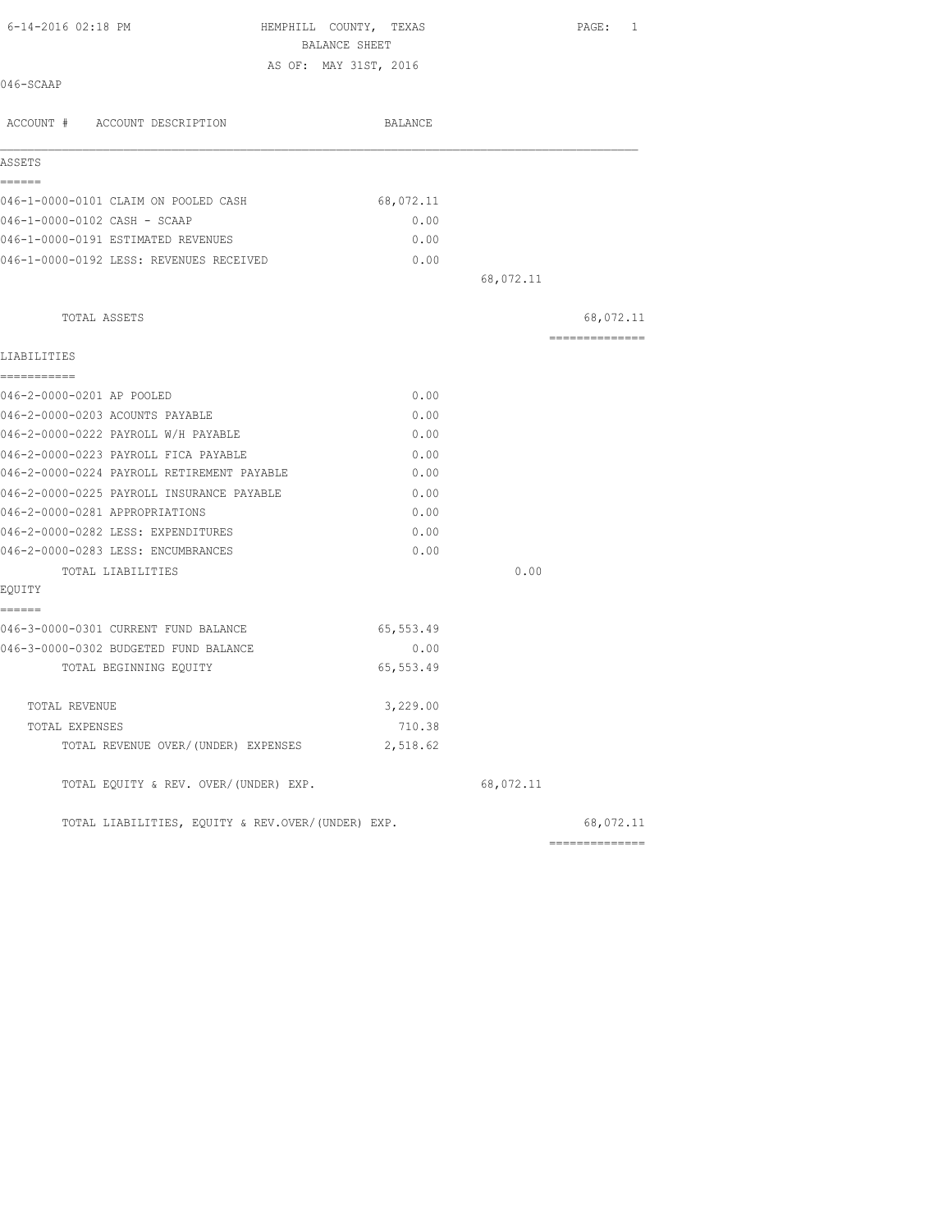| AS OF: MAY 31ST, 2016<br>046-SCAAP<br>ACCOUNT # ACCOUNT DESCRIPTION<br>BALANCE<br>ASSETS<br>======<br>046-1-0000-0101 CLAIM ON POOLED CASH<br>68,072.11<br>046-1-0000-0102 CASH - SCAAP<br>0.00<br>046-1-0000-0191 ESTIMATED REVENUES<br>0.00<br>046-1-0000-0192 LESS: REVENUES RECEIVED<br>0.00<br>68,072.11<br>TOTAL ASSETS<br>---------------<br>LIABILITIES<br>===========<br>046-2-0000-0201 AP POOLED<br>0.00<br>046-2-0000-0203 ACOUNTS PAYABLE<br>0.00<br>046-2-0000-0222 PAYROLL W/H PAYABLE<br>0.00<br>046-2-0000-0223 PAYROLL FICA PAYABLE<br>0.00<br>046-2-0000-0224 PAYROLL RETIREMENT PAYABLE<br>0.00<br>046-2-0000-0225 PAYROLL INSURANCE PAYABLE<br>0.00<br>046-2-0000-0281 APPROPRIATIONS<br>0.00<br>046-2-0000-0282 LESS: EXPENDITURES<br>0.00<br>046-2-0000-0283 LESS: ENCUMBRANCES<br>0.00<br>0.00<br>TOTAL LIABILITIES<br>EQUITY<br>======<br>046-3-0000-0301 CURRENT FUND BALANCE<br>65,553.49<br>046-3-0000-0302 BUDGETED FUND BALANCE<br>0.00<br>65, 553.49<br>TOTAL BEGINNING EQUITY<br>3,229.00<br>TOTAL REVENUE<br>710.38<br>TOTAL EXPENSES<br>2,518.62<br>TOTAL REVENUE OVER/(UNDER) EXPENSES<br>TOTAL EQUITY & REV. OVER/(UNDER) EXP.<br>68,072.11<br>TOTAL LIABILITIES, EQUITY & REV.OVER/(UNDER) EXP. | 6-14-2016 02:18 PM | HEMPHILL COUNTY, TEXAS<br>BALANCE SHEET | PAGE: 1   |
|--------------------------------------------------------------------------------------------------------------------------------------------------------------------------------------------------------------------------------------------------------------------------------------------------------------------------------------------------------------------------------------------------------------------------------------------------------------------------------------------------------------------------------------------------------------------------------------------------------------------------------------------------------------------------------------------------------------------------------------------------------------------------------------------------------------------------------------------------------------------------------------------------------------------------------------------------------------------------------------------------------------------------------------------------------------------------------------------------------------------------------------------------------------------------------------------------------------------------------------|--------------------|-----------------------------------------|-----------|
|                                                                                                                                                                                                                                                                                                                                                                                                                                                                                                                                                                                                                                                                                                                                                                                                                                                                                                                                                                                                                                                                                                                                                                                                                                      |                    |                                         |           |
|                                                                                                                                                                                                                                                                                                                                                                                                                                                                                                                                                                                                                                                                                                                                                                                                                                                                                                                                                                                                                                                                                                                                                                                                                                      |                    |                                         |           |
|                                                                                                                                                                                                                                                                                                                                                                                                                                                                                                                                                                                                                                                                                                                                                                                                                                                                                                                                                                                                                                                                                                                                                                                                                                      |                    |                                         |           |
|                                                                                                                                                                                                                                                                                                                                                                                                                                                                                                                                                                                                                                                                                                                                                                                                                                                                                                                                                                                                                                                                                                                                                                                                                                      |                    |                                         |           |
|                                                                                                                                                                                                                                                                                                                                                                                                                                                                                                                                                                                                                                                                                                                                                                                                                                                                                                                                                                                                                                                                                                                                                                                                                                      |                    |                                         |           |
|                                                                                                                                                                                                                                                                                                                                                                                                                                                                                                                                                                                                                                                                                                                                                                                                                                                                                                                                                                                                                                                                                                                                                                                                                                      |                    |                                         |           |
|                                                                                                                                                                                                                                                                                                                                                                                                                                                                                                                                                                                                                                                                                                                                                                                                                                                                                                                                                                                                                                                                                                                                                                                                                                      |                    |                                         |           |
|                                                                                                                                                                                                                                                                                                                                                                                                                                                                                                                                                                                                                                                                                                                                                                                                                                                                                                                                                                                                                                                                                                                                                                                                                                      |                    |                                         |           |
|                                                                                                                                                                                                                                                                                                                                                                                                                                                                                                                                                                                                                                                                                                                                                                                                                                                                                                                                                                                                                                                                                                                                                                                                                                      |                    |                                         |           |
|                                                                                                                                                                                                                                                                                                                                                                                                                                                                                                                                                                                                                                                                                                                                                                                                                                                                                                                                                                                                                                                                                                                                                                                                                                      |                    |                                         |           |
|                                                                                                                                                                                                                                                                                                                                                                                                                                                                                                                                                                                                                                                                                                                                                                                                                                                                                                                                                                                                                                                                                                                                                                                                                                      |                    |                                         | 68,072.11 |
|                                                                                                                                                                                                                                                                                                                                                                                                                                                                                                                                                                                                                                                                                                                                                                                                                                                                                                                                                                                                                                                                                                                                                                                                                                      |                    |                                         |           |
|                                                                                                                                                                                                                                                                                                                                                                                                                                                                                                                                                                                                                                                                                                                                                                                                                                                                                                                                                                                                                                                                                                                                                                                                                                      |                    |                                         |           |
|                                                                                                                                                                                                                                                                                                                                                                                                                                                                                                                                                                                                                                                                                                                                                                                                                                                                                                                                                                                                                                                                                                                                                                                                                                      |                    |                                         |           |
|                                                                                                                                                                                                                                                                                                                                                                                                                                                                                                                                                                                                                                                                                                                                                                                                                                                                                                                                                                                                                                                                                                                                                                                                                                      |                    |                                         |           |
|                                                                                                                                                                                                                                                                                                                                                                                                                                                                                                                                                                                                                                                                                                                                                                                                                                                                                                                                                                                                                                                                                                                                                                                                                                      |                    |                                         |           |
|                                                                                                                                                                                                                                                                                                                                                                                                                                                                                                                                                                                                                                                                                                                                                                                                                                                                                                                                                                                                                                                                                                                                                                                                                                      |                    |                                         |           |
|                                                                                                                                                                                                                                                                                                                                                                                                                                                                                                                                                                                                                                                                                                                                                                                                                                                                                                                                                                                                                                                                                                                                                                                                                                      |                    |                                         |           |
|                                                                                                                                                                                                                                                                                                                                                                                                                                                                                                                                                                                                                                                                                                                                                                                                                                                                                                                                                                                                                                                                                                                                                                                                                                      |                    |                                         |           |
|                                                                                                                                                                                                                                                                                                                                                                                                                                                                                                                                                                                                                                                                                                                                                                                                                                                                                                                                                                                                                                                                                                                                                                                                                                      |                    |                                         |           |
|                                                                                                                                                                                                                                                                                                                                                                                                                                                                                                                                                                                                                                                                                                                                                                                                                                                                                                                                                                                                                                                                                                                                                                                                                                      |                    |                                         |           |
|                                                                                                                                                                                                                                                                                                                                                                                                                                                                                                                                                                                                                                                                                                                                                                                                                                                                                                                                                                                                                                                                                                                                                                                                                                      |                    |                                         |           |
|                                                                                                                                                                                                                                                                                                                                                                                                                                                                                                                                                                                                                                                                                                                                                                                                                                                                                                                                                                                                                                                                                                                                                                                                                                      |                    |                                         |           |
|                                                                                                                                                                                                                                                                                                                                                                                                                                                                                                                                                                                                                                                                                                                                                                                                                                                                                                                                                                                                                                                                                                                                                                                                                                      |                    |                                         |           |
|                                                                                                                                                                                                                                                                                                                                                                                                                                                                                                                                                                                                                                                                                                                                                                                                                                                                                                                                                                                                                                                                                                                                                                                                                                      |                    |                                         |           |
|                                                                                                                                                                                                                                                                                                                                                                                                                                                                                                                                                                                                                                                                                                                                                                                                                                                                                                                                                                                                                                                                                                                                                                                                                                      |                    |                                         |           |
|                                                                                                                                                                                                                                                                                                                                                                                                                                                                                                                                                                                                                                                                                                                                                                                                                                                                                                                                                                                                                                                                                                                                                                                                                                      |                    |                                         |           |
|                                                                                                                                                                                                                                                                                                                                                                                                                                                                                                                                                                                                                                                                                                                                                                                                                                                                                                                                                                                                                                                                                                                                                                                                                                      |                    |                                         |           |
|                                                                                                                                                                                                                                                                                                                                                                                                                                                                                                                                                                                                                                                                                                                                                                                                                                                                                                                                                                                                                                                                                                                                                                                                                                      |                    |                                         |           |
|                                                                                                                                                                                                                                                                                                                                                                                                                                                                                                                                                                                                                                                                                                                                                                                                                                                                                                                                                                                                                                                                                                                                                                                                                                      |                    |                                         |           |
|                                                                                                                                                                                                                                                                                                                                                                                                                                                                                                                                                                                                                                                                                                                                                                                                                                                                                                                                                                                                                                                                                                                                                                                                                                      |                    |                                         |           |
|                                                                                                                                                                                                                                                                                                                                                                                                                                                                                                                                                                                                                                                                                                                                                                                                                                                                                                                                                                                                                                                                                                                                                                                                                                      |                    |                                         | 68,072.11 |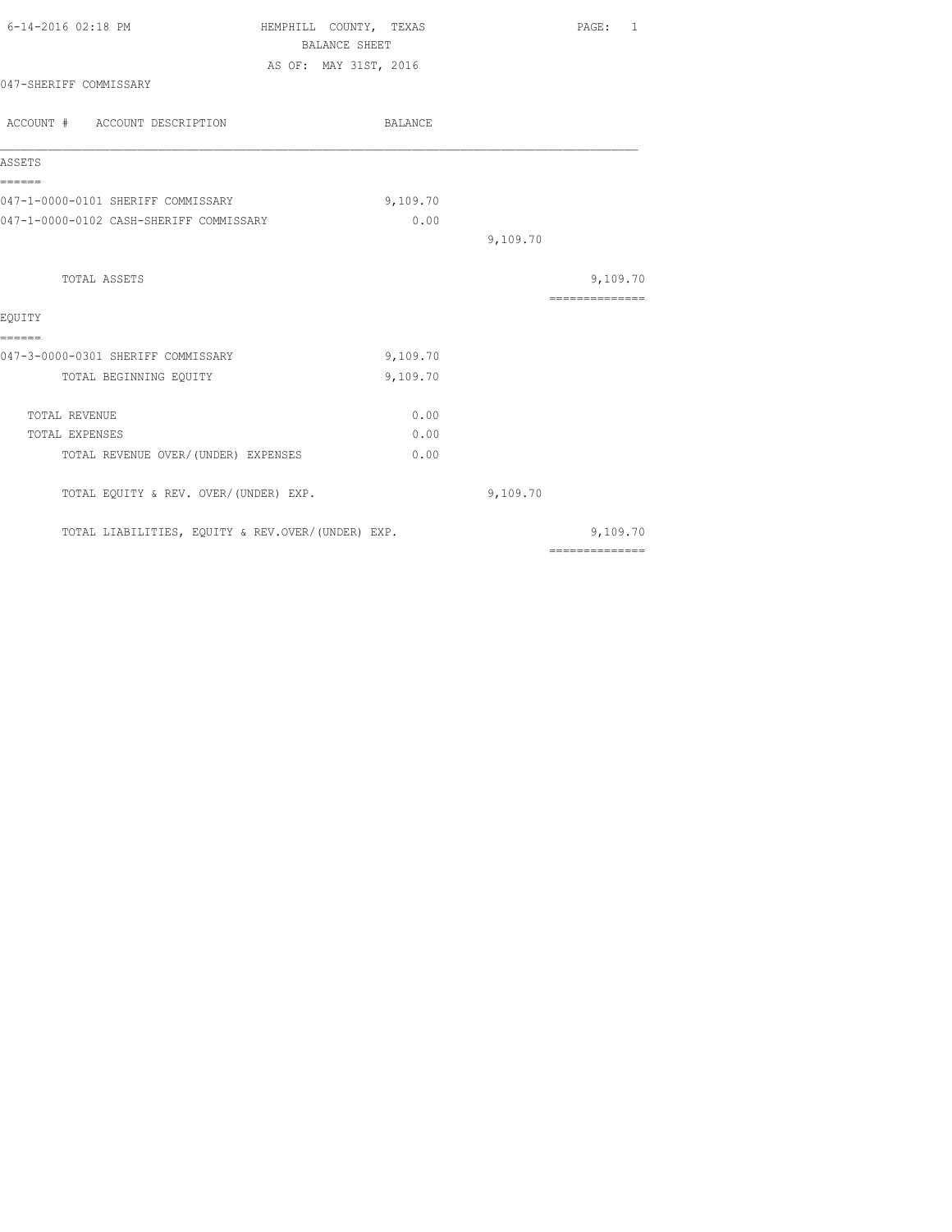|                                         |      |                                                                                                                                                                             | PAGE: 1                                                                                                                                                                                                                                                                                                                                                                                                                                                                                |
|-----------------------------------------|------|-----------------------------------------------------------------------------------------------------------------------------------------------------------------------------|----------------------------------------------------------------------------------------------------------------------------------------------------------------------------------------------------------------------------------------------------------------------------------------------------------------------------------------------------------------------------------------------------------------------------------------------------------------------------------------|
|                                         |      |                                                                                                                                                                             |                                                                                                                                                                                                                                                                                                                                                                                                                                                                                        |
|                                         |      |                                                                                                                                                                             |                                                                                                                                                                                                                                                                                                                                                                                                                                                                                        |
|                                         |      |                                                                                                                                                                             |                                                                                                                                                                                                                                                                                                                                                                                                                                                                                        |
|                                         |      |                                                                                                                                                                             |                                                                                                                                                                                                                                                                                                                                                                                                                                                                                        |
| 047-1-0000-0101 SHERIFF COMMISSARY      |      |                                                                                                                                                                             |                                                                                                                                                                                                                                                                                                                                                                                                                                                                                        |
| 047-1-0000-0102 CASH-SHERIFF COMMISSARY | 0.00 |                                                                                                                                                                             |                                                                                                                                                                                                                                                                                                                                                                                                                                                                                        |
|                                         |      | 9,109.70                                                                                                                                                                    |                                                                                                                                                                                                                                                                                                                                                                                                                                                                                        |
|                                         |      |                                                                                                                                                                             | 9,109.70                                                                                                                                                                                                                                                                                                                                                                                                                                                                               |
|                                         |      |                                                                                                                                                                             | $\begin{array}{cccccccccc} \multicolumn{2}{c}{} & \multicolumn{2}{c}{} & \multicolumn{2}{c}{} & \multicolumn{2}{c}{} & \multicolumn{2}{c}{} & \multicolumn{2}{c}{} & \multicolumn{2}{c}{} & \multicolumn{2}{c}{} & \multicolumn{2}{c}{} & \multicolumn{2}{c}{} & \multicolumn{2}{c}{} & \multicolumn{2}{c}{} & \multicolumn{2}{c}{} & \multicolumn{2}{c}{} & \multicolumn{2}{c}{} & \multicolumn{2}{c}{} & \multicolumn{2}{c}{} & \multicolumn{2}{c}{} & \multicolumn{2}{c}{} & \mult$ |
|                                         |      |                                                                                                                                                                             |                                                                                                                                                                                                                                                                                                                                                                                                                                                                                        |
|                                         |      |                                                                                                                                                                             |                                                                                                                                                                                                                                                                                                                                                                                                                                                                                        |
|                                         |      |                                                                                                                                                                             |                                                                                                                                                                                                                                                                                                                                                                                                                                                                                        |
|                                         |      |                                                                                                                                                                             |                                                                                                                                                                                                                                                                                                                                                                                                                                                                                        |
|                                         | 0.00 |                                                                                                                                                                             |                                                                                                                                                                                                                                                                                                                                                                                                                                                                                        |
|                                         | 0.00 |                                                                                                                                                                             |                                                                                                                                                                                                                                                                                                                                                                                                                                                                                        |
| TOTAL REVENUE OVER/(UNDER) EXPENSES     | 0.00 |                                                                                                                                                                             |                                                                                                                                                                                                                                                                                                                                                                                                                                                                                        |
| TOTAL EQUITY & REV. OVER/(UNDER) EXP.   |      | 9,109.70                                                                                                                                                                    |                                                                                                                                                                                                                                                                                                                                                                                                                                                                                        |
|                                         |      |                                                                                                                                                                             | 9,109.70                                                                                                                                                                                                                                                                                                                                                                                                                                                                               |
|                                         |      | HEMPHILL COUNTY, TEXAS<br><b>BALANCE SHEET</b><br>AS OF: MAY 31ST, 2016<br>BALANCE<br>9,109.70<br>9,109.70<br>9,109.70<br>TOTAL LIABILITIES, EQUITY & REV.OVER/(UNDER) EXP. | ==============                                                                                                                                                                                                                                                                                                                                                                                                                                                                         |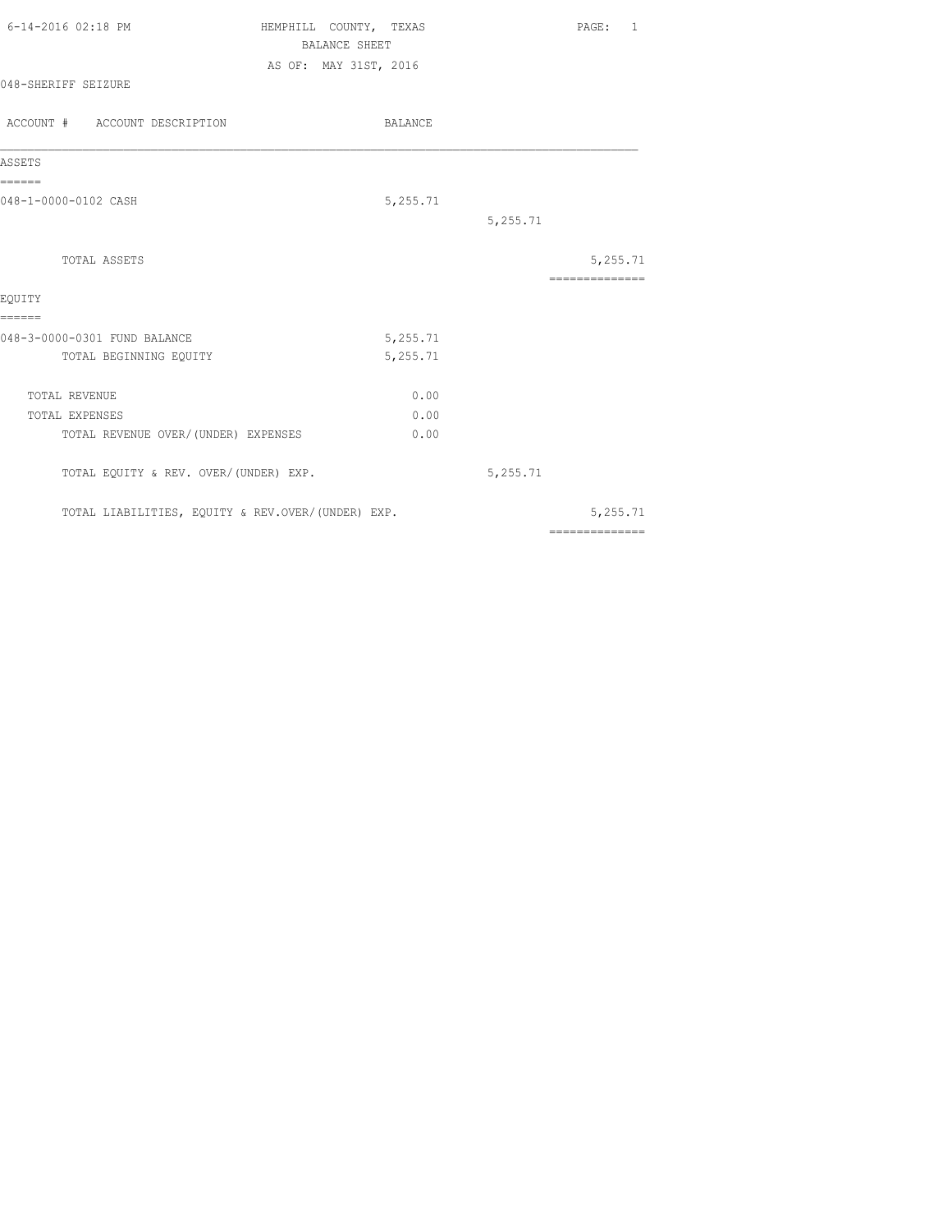| 6-14-2016 02:18 PM  | HEMPHILL COUNTY, TEXAS | PAGE: 1 |
|---------------------|------------------------|---------|
|                     | BALANCE SHEET          |         |
|                     | AS OF: MAY 31ST, 2016  |         |
| 048-SHERIFF SEIZURE |                        |         |
|                     |                        |         |

| ACCOUNT # ACCOUNT DESCRIPTION                     | <b>BALANCE</b> |          |                |
|---------------------------------------------------|----------------|----------|----------------|
| ASSETS                                            |                |          |                |
| ======<br>048-1-0000-0102 CASH                    | 5,255.71       |          |                |
|                                                   |                | 5,255.71 |                |
| TOTAL ASSETS                                      |                |          | 5,255.71       |
| EOUITY                                            |                |          | ============== |
| ======<br>048-3-0000-0301 FUND BALANCE            | 5,255.71       |          |                |
| TOTAL BEGINNING EQUITY                            | 5,255.71       |          |                |
| <b>TOTAL REVENUE</b>                              | 0.00           |          |                |
| TOTAL EXPENSES                                    | 0.00           |          |                |
| TOTAL REVENUE OVER/(UNDER) EXPENSES               | 0.00           |          |                |
| TOTAL EQUITY & REV. OVER/(UNDER) EXP.             |                | 5,255.71 |                |
| TOTAL LIABILITIES, EQUITY & REV.OVER/(UNDER) EXP. |                |          | 5,255.71       |
|                                                   |                |          | ============== |